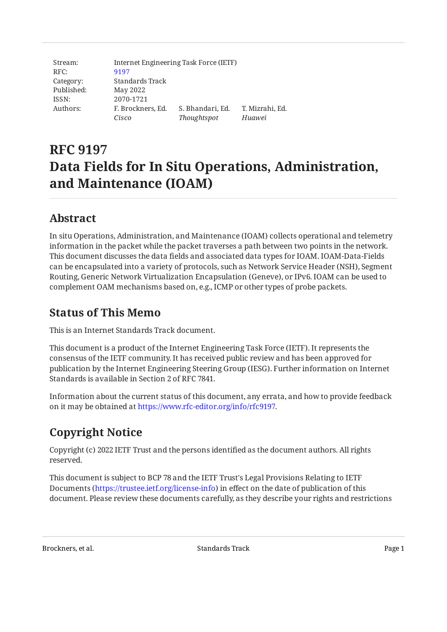| Stream:    |                   | Internet Engineering Task Force (IETF) |                 |
|------------|-------------------|----------------------------------------|-----------------|
| RFC:       | 9197              |                                        |                 |
| Category:  | Standards Track   |                                        |                 |
| Published: | May 2022          |                                        |                 |
| ISSN:      | 2070-1721         |                                        |                 |
| Authors:   | F. Brockners, Ed. | S. Bhandari, Ed.                       | T. Mizrahi, Ed. |
|            | Cisco             | Thoughtspot                            | Huawei          |

# **RFC 9197 Data Fields for In Situ Operations, Administration, and Maintenance (IOAM)**

## <span id="page-0-0"></span>**[Abstract](#page-0-0)**

In situ Operations, Administration, and Maintenance (IOAM) collects operational and telemetry information in the packet while the packet traverses a path between two points in the network. This document discusses the data fields and associated data types for IOAM. IOAM-Data-Fields can be encapsulated into a variety of protocols, such as Network Service Header (NSH), Segment Routing, Generic Network Virtualization Encapsulation (Geneve), or IPv6. IOAM can be used to complement OAM mechanisms based on, e.g., ICMP or other types of probe packets.

## <span id="page-0-1"></span>**[Status of This Memo](#page-0-1)**

This is an Internet Standards Track document.

This document is a product of the Internet Engineering Task Force (IETF). It represents the consensus of the IETF community. It has received public review and has been approved for publication by the Internet Engineering Steering Group (IESG). Further information on Internet Standards is available in Section 2 of RFC 7841.

Information about the current status of this document, any errata, and how to provide feedback on it may be obtained at [https://www.rfc-editor.org/info/rfc9197.](https://www.rfc-editor.org/info/rfc9197)

# <span id="page-0-2"></span>**[Copyright Notice](#page-0-2)**

Copyright (c) 2022 IETF Trust and the persons identified as the document authors. All rights reserved.

This document is subject to BCP 78 and the IETF Trust's Legal Provisions Relating to IETF Documents (<https://trustee.ietf.org/license-info>) in effect on the date of publication of this document. Please review these documents carefully, as they describe your rights and restrictions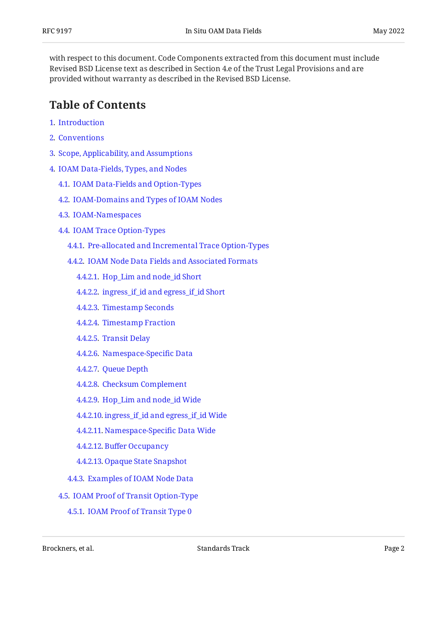with respect to this document. Code Components extracted from this document must include Revised BSD License text as described in Section 4.e of the Trust Legal Provisions and are provided without warranty as described in the Revised BSD License.

## <span id="page-1-0"></span>**[Table of Contents](#page-1-0)**

- [1](#page-2-0). [Introduction](#page-2-0)
- [2](#page-3-0). [Conventions](#page-3-0)
- [3](#page-4-0). [Scope, Applicability, and Assumptions](#page-4-0)
- [4](#page-5-0). [IOAM Data-Fields, Types, and Nodes](#page-5-0)
	- [4.1.](#page-5-1) [IOAM Data-Fields and Option-Types](#page-5-1)
	- [4.2.](#page-6-0) [IOAM-Domains and Types of IOAM Nodes](#page-6-0)
	- [4.3.](#page-7-0) [IOAM-Namespaces](#page-7-0)
	- [4.4.](#page-9-0) [IOAM Trace Option-Types](#page-9-0)
		- [4.4.1](#page-10-0). [Pre-allocated and Incremental Trace Option-Types](#page-10-0)
		- [4.4.2](#page-14-0). [IOAM Node Data Fields and Associated Formats](#page-14-0)
			- [4.4.2.1.](#page-14-1) [Hop\\_Lim and node\\_id Short](#page-14-1)
			- [4.4.2.2.](#page-15-0) [ingress\\_if\\_id and egress\\_if\\_id Short](#page-15-0)
			- [4.4.2.3.](#page-15-1) [Timestamp Seconds](#page-15-1)
			- [4.4.2.4.](#page-15-2) [Timestamp Fraction](#page-15-2)
			- [4.4.2.5.](#page-16-0) [Transit Delay](#page-16-0)
			- [4.4.2.6.](#page-16-1) [Namespace-Speci](#page-16-1)fic Data
			- [4.4.2.7.](#page-16-2) [Queue Depth](#page-16-2)
			- [4.4.2.8.](#page-16-3) [Checksum Complement](#page-16-3)
			- [4.4.2.9.](#page-17-0) [Hop\\_Lim and node\\_id Wide](#page-17-0)
			- [4.4.2.10.](#page-17-1) [ingress\\_if\\_id and egress\\_if\\_id Wide](#page-17-1)
			- [4.4.2.11.](#page-18-0) [Namespace-Speci](#page-18-0)fic Data Wide
			- [4.4.2.12.](#page-18-1) Buff[er Occupancy](#page-18-1)
			- [4.4.2.13.](#page-18-2) [Opaque State Snapshot](#page-18-2)
		- [4.4.3](#page-19-0). [Examples of IOAM Node Data](#page-19-0)
	- [4.5.](#page-21-0) [IOAM Proof of Transit Option-Type](#page-21-0)
		- [4.5.1](#page-22-0). [IOAM Proof of Transit Type 0](#page-22-0)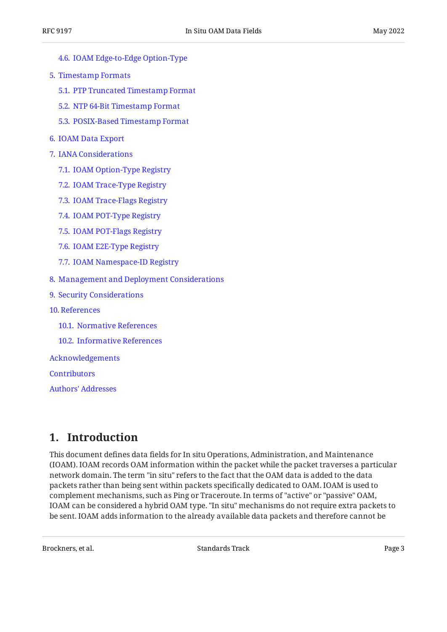- [4.6.](#page-23-0) [IOAM Edge-to-Edge Option-Type](#page-23-0)
- [5](#page-25-0). [Timestamp Formats](#page-25-0)
	- [5.1.](#page-25-1) [PTP Truncated Timestamp Format](#page-25-1)
	- [5.2.](#page-26-0) [NTP 64-Bit Timestamp Format](#page-26-0)
	- [5.3.](#page-27-0) [POSIX-Based Timestamp Format](#page-27-0)
- [6](#page-28-0). [IOAM Data Export](#page-28-0)
- [7](#page-28-1). [IANA Considerations](#page-28-1)
	- [7.1.](#page-28-2) [IOAM Option-Type Registry](#page-28-2)
	- [7.2.](#page-29-0) [IOAM Trace-Type Registry](#page-29-0)
	- [7.3.](#page-30-0) [IOAM Trace-Flags Registry](#page-30-0)
	- [7.4.](#page-30-1) [IOAM POT-Type Registry](#page-30-1)
	- [7.5.](#page-30-2) [IOAM POT-Flags Registry](#page-30-2)
	- [7.6.](#page-31-0) [IOAM E2E-Type Registry](#page-31-0)
	- [7.7.](#page-31-1) [IOAM Namespace-ID Registry](#page-31-1)
- [8](#page-32-0). [Management and Deployment Considerations](#page-32-0)
- [9](#page-32-1). [Security Considerations](#page-32-1)
- [10](#page-34-0). [References](#page-34-0)
	- [10.1.](#page-34-1) [Normative References](#page-34-1)
	- [10.2.](#page-35-0) [Informative References](#page-35-0)

[Acknowledgements](#page-36-0)

**[Contributors](#page-37-0)** 

[Authors' Addresses](#page-38-0)

## <span id="page-2-0"></span>**[1. Introduction](#page-2-0)**

This document defines data fields for In situ Operations, Administration, and Maintenance (IOAM). IOAM records OAM information within the packet while the packet traverses a particular network domain. The term "in situ" refers to the fact that the OAM data is added to the data packets rather than being sent within packets specifically dedicated to OAM. IOAM is used to complement mechanisms, such as Ping or Traceroute. In terms of "active" or "passive" OAM, IOAM can be considered a hybrid OAM type. "In situ" mechanisms do not require extra packets to be sent. IOAM adds information to the already available data packets and therefore cannot be

Brockners, et al. Standards Track Page 3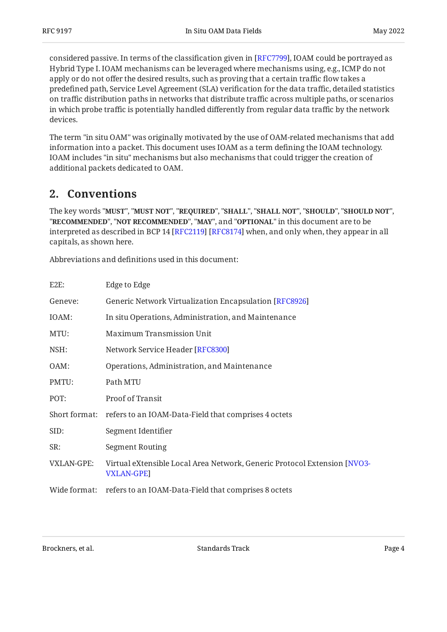considered passive. In terms of the classification given in [RFC7799], IOAM could be portrayed as Hybrid Type I. IOAM mechanisms can be leveraged where mechanisms using, e.g., ICMP do not apply or do not offer the desired results, such as proving that a certain traffic flow takes a predefined path, Service Level Agreement (SLA) verification for the data traffic, detailed statistics on traffic distribution paths in networks that distribute traffic across multiple paths, or scenarios in which probe traffic is potentially handled differently from regular data traffic by the network devices.

The term "in situ OAM" was originally motivated by the use of OAM-related mechanisms that add information into a packet. This document uses IOAM as a term defining the IOAM technology. IOAM includes "in situ" mechanisms but also mechanisms that could trigger the creation of additional packets dedicated to OAM.

## <span id="page-3-0"></span>**[2. Conventions](#page-3-0)**

The key words "MUST", "MUST NOT", "REQUIRED", "SHALL", "SHALL NOT", "SHOULD", "SHOULD NOT", "**RECOMMENDED", "NOT RECOMMENDED", "MAY",** and "OPTIONAL" in this document are to be interpreted as described in BCP 14 [RFC2119] [RFC8174] when, and only when, they appear in all capitals, as shown here.

Abbreviations and definitions used in this document:

| E2E:         | Edge to Edge                                                                           |
|--------------|----------------------------------------------------------------------------------------|
| Geneve:      | Generic Network Virtualization Encapsulation [RFC8926]                                 |
| IOAM:        | In situ Operations, Administration, and Maintenance                                    |
| MTU:         | <b>Maximum Transmission Unit</b>                                                       |
| NSH:         | Network Service Header [RFC8300]                                                       |
| OAM:         | Operations, Administration, and Maintenance                                            |
| PMTU:        | Path MTU                                                                               |
| POT:         | Proof of Transit                                                                       |
|              | Short format: refers to an IOAM-Data-Field that comprises 4 octets                     |
| SID:         | Segment Identifier                                                                     |
| SR:          | Segment Routing                                                                        |
| VXLAN-GPE:   | Virtual eXtensible Local Area Network, Generic Protocol Extension [NVO3-<br>VXLAN-GPE] |
| Wide format: | refers to an IOAM-Data-Field that comprises 8 octets                                   |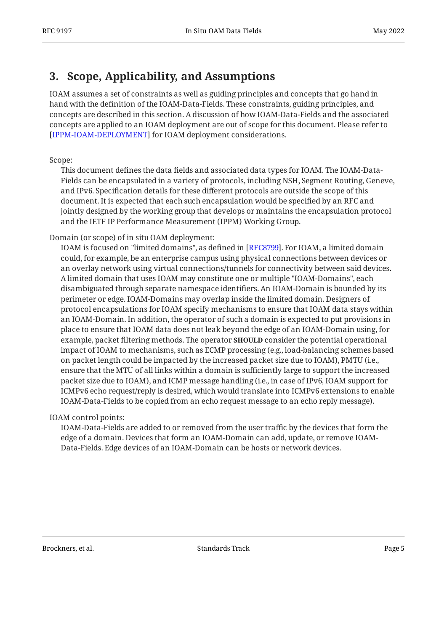## <span id="page-4-0"></span>**[3. Scope, Applicability, and Assumptions](#page-4-0)**

IOAM assumes a set of constraints as well as guiding principles and concepts that go hand in hand with the definition of the IOAM-Data-Fields. These constraints, guiding principles, and concepts are described in this section. A discussion of how IOAM-Data-Fields and the associated concepts are applied to an IOAM deployment are out of scope for this document. Please refer to [[IPPM-IOAM-DEPLOYMENT\]](#page-35-3) for IOAM deployment considerations.

#### Scope:

This document defines the data fields and associated data types for IOAM. The IOAM-Data-Fields can be encapsulated in a variety of protocols, including NSH, Segment Routing, Geneve, and IPv6. Specification details for these different protocols are outside the scope of this document. It is expected that each such encapsulation would be specified by an RFC and jointly designed by the working group that develops or maintains the encapsulation protocol and the IETF IP Performance Measurement (IPPM) Working Group.

#### Domain (or scope) of in situ OAM deployment:

IOAM is focused on "limited domains", as defined in [\[RFC8799](#page-36-4)]. For IOAM, a limited domain could, for example, be an enterprise campus using physical connections between devices or an overlay network using virtual connections/tunnels for connectivity between said devices. A limited domain that uses IOAM may constitute one or multiple "IOAM-Domains", each disambiguated through separate namespace identifiers. An IOAM-Domain is bounded by its perimeter or edge. IOAM-Domains may overlap inside the limited domain. Designers of protocol encapsulations for IOAM specify mechanisms to ensure that IOAM data stays within an IOAM-Domain. In addition, the operator of such a domain is expected to put provisions in place to ensure that IOAM data does not leak beyond the edge of an IOAM-Domain using, for example, packet filtering methods. The operator **SHOULD** consider the potential operational impact of IOAM to mechanisms, such as ECMP processing (e.g., load-balancing schemes based on packet length could be impacted by the increased packet size due to IOAM), PMTU (i.e., ensure that the MTU of all links within a domain is sufficiently large to support the increased packet size due to IOAM), and ICMP message handling (i.e., in case of IPv6, IOAM support for ICMPv6 echo request/reply is desired, which would translate into ICMPv6 extensions to enable IOAM-Data-Fields to be copied from an echo request message to an echo reply message).

#### IOAM control points:

IOAM-Data-Fields are added to or removed from the user traffic by the devices that form the edge of a domain. Devices that form an IOAM-Domain can add, update, or remove IOAM-Data-Fields. Edge devices of an IOAM-Domain can be hosts or network devices.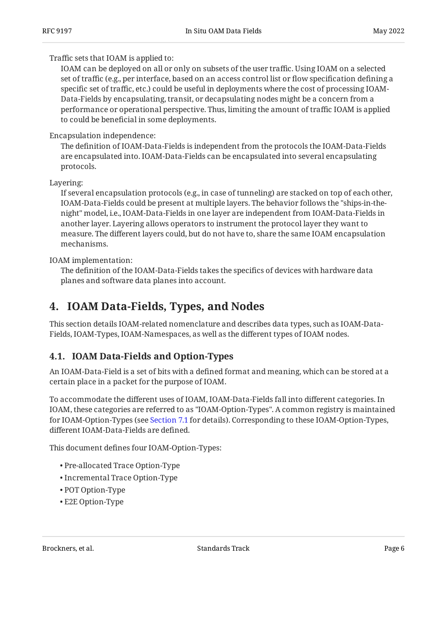Traffic sets that IOAM is applied to:

IOAM can be deployed on all or only on subsets of the user traffic. Using IOAM on a selected set of traffic (e.g., per interface, based on an access control list or flow specification defining a specific set of traffic, etc.) could be useful in deployments where the cost of processing IOAM-Data-Fields by encapsulating, transit, or decapsulating nodes might be a concern from a performance or operational perspective. Thus, limiting the amount of traffic IOAM is applied to could be beneficial in some deployments.

### Encapsulation independence:

The definition of IOAM-Data-Fields is independent from the protocols the IOAM-Data-Fields are encapsulated into. IOAM-Data-Fields can be encapsulated into several encapsulating protocols.

Layering:

If several encapsulation protocols (e.g., in case of tunneling) are stacked on top of each other, IOAM-Data-Fields could be present at multiple layers. The behavior follows the "ships-in-thenight" model, i.e., IOAM-Data-Fields in one layer are independent from IOAM-Data-Fields in another layer. Layering allows operators to instrument the protocol layer they want to measure. The different layers could, but do not have to, share the same IOAM encapsulation mechanisms.

IOAM implementation:

The definition of the IOAM-Data-Fields takes the specifics of devices with hardware data planes and software data planes into account.

## <span id="page-5-0"></span>**[4. IOAM Data-Fields, Types, and Nodes](#page-5-0)**

This section details IOAM-related nomenclature and describes data types, such as IOAM-Data-Fields, IOAM-Types, IOAM-Namespaces, as well as the different types of IOAM nodes.

## <span id="page-5-1"></span>**[4.1. IOAM Data-Fields and Option-Types](#page-5-1)**

An IOAM-Data-Field is a set of bits with a defined format and meaning, which can be stored at a certain place in a packet for the purpose of IOAM.

To accommodate the different uses of IOAM, IOAM-Data-Fields fall into different categories. In IOAM, these categories are referred to as "IOAM-Option-Types". A common registry is maintained for IOAM-Option-Types (see [Section 7.1](#page-28-2) for details). Corresponding to these IOAM-Option-Types, different IOAM-Data-Fields are defined.

This document defines four IOAM-Option-Types:

- Pre-allocated Trace Option-Type •
- Incremental Trace Option-Type
- POT Option-Type
- E2E Option-Type •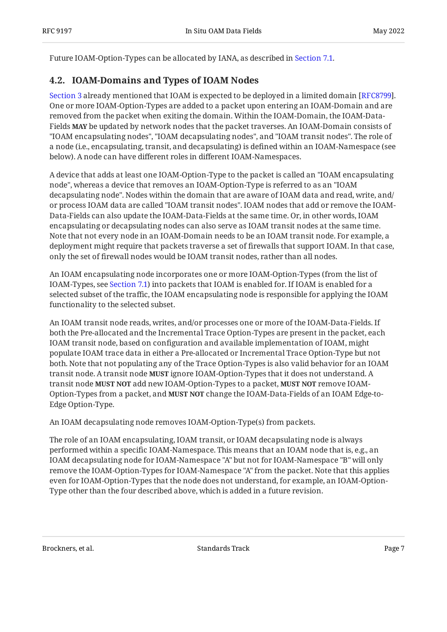<span id="page-6-0"></span>Future IOAM-Option-Types can be allocated by IANA, as described in [Section 7.1](#page-28-2).

## **[4.2. IOAM-Domains and Types of IOAM Nodes](#page-6-0)**

[Section 3](#page-4-0) already mentioned that IOAM is expected to be deployed in a limited domain [RFC8799]. One or more IOAM-Option-Types are added to a packet upon entering an IOAM-Domain and are removed from the packet when exiting the domain. Within the IOAM-Domain, the IOAM-Data-Fields **MAY** be updated by network nodes that the packet traverses. An IOAM-Domain consists of "IOAM encapsulating nodes", "IOAM decapsulating nodes", and "IOAM transit nodes". The role of a node (i.e., encapsulating, transit, and decapsulating) is defined within an IOAM-Namespace (see below). A node can have different roles in different IOAM-Namespaces.

A device that adds at least one IOAM-Option-Type to the packet is called an "IOAM encapsulating node", whereas a device that removes an IOAM-Option-Type is referred to as an "IOAM decapsulating node". Nodes within the domain that are aware of IOAM data and read, write, and/ or process IOAM data are called "IOAM transit nodes". IOAM nodes that add or remove the IOAM-Data-Fields can also update the IOAM-Data-Fields at the same time. Or, in other words, IOAM encapsulating or decapsulating nodes can also serve as IOAM transit nodes at the same time. Note that not every node in an IOAM-Domain needs to be an IOAM transit node. For example, a deployment might require that packets traverse a set of firewalls that support IOAM. In that case, only the set of firewall nodes would be IOAM transit nodes, rather than all nodes.

An IOAM encapsulating node incorporates one or more IOAM-Option-Types (from the list of IOAM-Types, see [Section 7.1](#page-28-2)) into packets that IOAM is enabled for. If IOAM is enabled for a selected subset of the traffic, the IOAM encapsulating node is responsible for applying the IOAM functionality to the selected subset.

An IOAM transit node reads, writes, and/or processes one or more of the IOAM-Data-Fields. If both the Pre-allocated and the Incremental Trace Option-Types are present in the packet, each IOAM transit node, based on configuration and available implementation of IOAM, might populate IOAM trace data in either a Pre-allocated or Incremental Trace Option-Type but not both. Note that not populating any of the Trace Option-Types is also valid behavior for an IOAM transit node. A transit node **MUST** ignore IOAM-Option-Types that it does not understand. A transit node **MUST NOT** add new IOAM-Option-Types to a packet, **MUST NOT** remove IOAM-Option-Types from a packet, and **MUST NOT** change the IOAM-Data-Fields of an IOAM Edge-to-Edge Option-Type.

An IOAM decapsulating node removes IOAM-Option-Type(s) from packets.

The role of an IOAM encapsulating, IOAM transit, or IOAM decapsulating node is always performed within a specific IOAM-Namespace. This means that an IOAM node that is, e.g., an IOAM decapsulating node for IOAM-Namespace "A" but not for IOAM-Namespace "B" will only remove the IOAM-Option-Types for IOAM-Namespace "A" from the packet. Note that this applies even for IOAM-Option-Types that the node does not understand, for example, an IOAM-Option-Type other than the four described above, which is added in a future revision.

Brockners, et al. Standards Track Page 7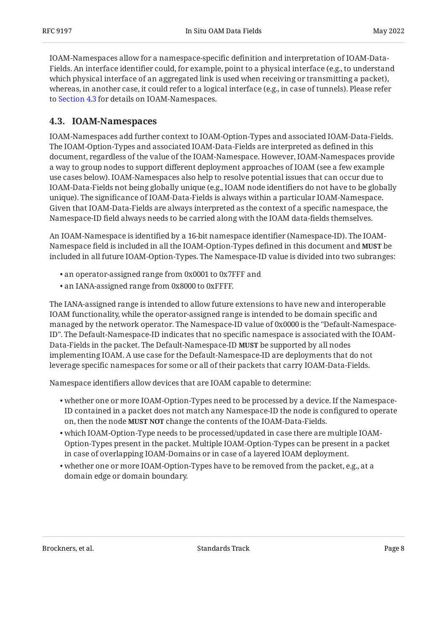IOAM-Namespaces allow for a namespace-specific definition and interpretation of IOAM-Data-Fields. An interface identifier could, for example, point to a physical interface (e.g., to understand which physical interface of an aggregated link is used when receiving or transmitting a packet), whereas, in another case, it could refer to a logical interface (e.g., in case of tunnels). Please refer to [Section 4.3](#page-7-0) for details on IOAM-Namespaces.

### <span id="page-7-0"></span>**[4.3. IOAM-Namespaces](#page-7-0)**

IOAM-Namespaces add further context to IOAM-Option-Types and associated IOAM-Data-Fields. The IOAM-Option-Types and associated IOAM-Data-Fields are interpreted as defined in this document, regardless of the value of the IOAM-Namespace. However, IOAM-Namespaces provide a way to group nodes to support different deployment approaches of IOAM (see a few example use cases below). IOAM-Namespaces also help to resolve potential issues that can occur due to IOAM-Data-Fields not being globally unique (e.g., IOAM node identifiers do not have to be globally unique). The significance of IOAM-Data-Fields is always within a particular IOAM-Namespace. Given that IOAM-Data-Fields are always interpreted as the context of a specific namespace, the Namespace-ID field always needs to be carried along with the IOAM data-fields themselves.

An IOAM-Namespace is identified by a 16-bit namespace identifier (Namespace-ID). The IOAM-Namespace field is included in all the IOAM-Option-Types defined in this document and **MUST** be included in all future IOAM-Option-Types. The Namespace-ID value is divided into two subranges:

- an operator-assigned range from 0x0001 to 0x7FFF and •
- an IANA-assigned range from 0x8000 to 0xFFFF. •

The IANA-assigned range is intended to allow future extensions to have new and interoperable IOAM functionality, while the operator-assigned range is intended to be domain specific and managed by the network operator. The Namespace-ID value of 0x0000 is the "Default-Namespace-ID". The Default-Namespace-ID indicates that no specific namespace is associated with the IOAM-Data-Fields in the packet. The Default-Namespace-ID **MUST** be supported by all nodes implementing IOAM. A use case for the Default-Namespace-ID are deployments that do not leverage specific namespaces for some or all of their packets that carry IOAM-Data-Fields.

Namespace identifiers allow devices that are IOAM capable to determine:

- whether one or more IOAM-Option-Types need to be processed by a device. If the Namespace-• ID contained in a packet does not match any Namespace-ID the node is configured to operate on, then the node MUST NOT change the contents of the IOAM-Data-Fields.
- which IOAM-Option-Type needs to be processed/updated in case there are multiple IOAM-• Option-Types present in the packet. Multiple IOAM-Option-Types can be present in a packet in case of overlapping IOAM-Domains or in case of a layered IOAM deployment.
- whether one or more IOAM-Option-Types have to be removed from the packet, e.g., at a domain edge or domain boundary.

Brockners, et al. Standards Track Page 8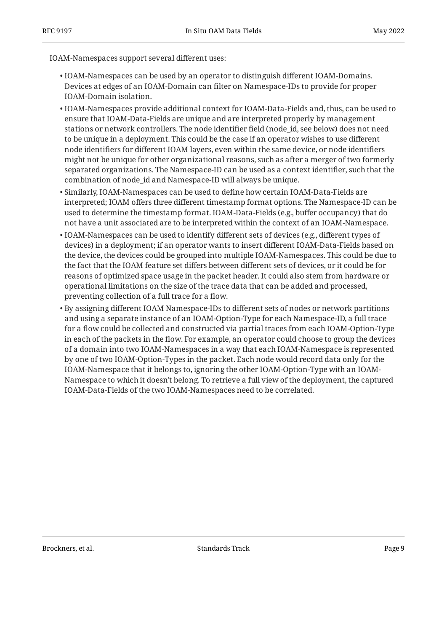IOAM-Namespaces support several different uses:

- $\bullet$  IOAM-Namespaces can be used by an operator to distinguish different IOAM-Domains. Devices at edges of an IOAM-Domain can filter on Namespace-IDs to provide for proper IOAM-Domain isolation.
- $\bullet$  IOAM-Namespaces provide additional context for IOAM-Data-Fields and, thus, can be used to ensure that IOAM-Data-Fields are unique and are interpreted properly by management stations or network controllers. The node identifier field (node\_id, see below) does not need to be unique in a deployment. This could be the case if an operator wishes to use different node identifiers for different IOAM layers, even within the same device, or node identifiers might not be unique for other organizational reasons, such as after a merger of two formerly separated organizations. The Namespace-ID can be used as a context identifier, such that the combination of node\_id and Namespace-ID will always be unique.
- $\bullet$  Similarly, IOAM-Namespaces can be used to define how certain IOAM-Data-Fields are interpreted; IOAM offers three different timestamp format options. The Namespace-ID can be used to determine the timestamp format. IOAM-Data-Fields (e.g., buffer occupancy) that do not have a unit associated are to be interpreted within the context of an IOAM-Namespace.
- $\bullet$  IOAM-Namespaces can be used to identify different sets of devices (e.g., different types of devices) in a deployment; if an operator wants to insert different IOAM-Data-Fields based on the device, the devices could be grouped into multiple IOAM-Namespaces. This could be due to the fact that the IOAM feature set differs between different sets of devices, or it could be for reasons of optimized space usage in the packet header. It could also stem from hardware or operational limitations on the size of the trace data that can be added and processed, preventing collection of a full trace for a flow.
- $\bullet$  By assigning different IOAM Namespace-IDs to different sets of nodes or network partitions and using a separate instance of an IOAM-Option-Type for each Namespace-ID, a full trace for a flow could be collected and constructed via partial traces from each IOAM-Option-Type in each of the packets in the flow. For example, an operator could choose to group the devices of a domain into two IOAM-Namespaces in a way that each IOAM-Namespace is represented by one of two IOAM-Option-Types in the packet. Each node would record data only for the IOAM-Namespace that it belongs to, ignoring the other IOAM-Option-Type with an IOAM-Namespace to which it doesn't belong. To retrieve a full view of the deployment, the captured IOAM-Data-Fields of the two IOAM-Namespaces need to be correlated.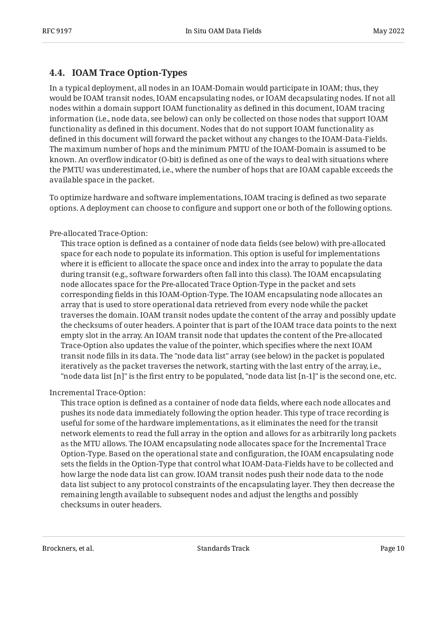### <span id="page-9-0"></span>**[4.4. IOAM Trace Option-Types](#page-9-0)**

In a typical deployment, all nodes in an IOAM-Domain would participate in IOAM; thus, they would be IOAM transit nodes, IOAM encapsulating nodes, or IOAM decapsulating nodes. If not all nodes within a domain support IOAM functionality as defined in this document, IOAM tracing information (i.e., node data, see below) can only be collected on those nodes that support IOAM functionality as defined in this document. Nodes that do not support IOAM functionality as defined in this document will forward the packet without any changes to the IOAM-Data-Fields. The maximum number of hops and the minimum PMTU of the IOAM-Domain is assumed to be known. An overflow indicator (O-bit) is defined as one of the ways to deal with situations where the PMTU was underestimated, i.e., where the number of hops that are IOAM capable exceeds the available space in the packet.

To optimize hardware and software implementations, IOAM tracing is defined as two separate options. A deployment can choose to configure and support one or both of the following options.

#### Pre-allocated Trace-Option:

This trace option is defined as a container of node data fields (see below) with pre-allocated space for each node to populate its information. This option is useful for implementations where it is efficient to allocate the space once and index into the array to populate the data during transit (e.g., software forwarders often fall into this class). The IOAM encapsulating node allocates space for the Pre-allocated Trace Option-Type in the packet and sets corresponding fields in this IOAM-Option-Type. The IOAM encapsulating node allocates an array that is used to store operational data retrieved from every node while the packet traverses the domain. IOAM transit nodes update the content of the array and possibly update the checksums of outer headers. A pointer that is part of the IOAM trace data points to the next empty slot in the array. An IOAM transit node that updates the content of the Pre-allocated Trace-Option also updates the value of the pointer, which specifies where the next IOAM transit node fills in its data. The "node data list" array (see below) in the packet is populated iteratively as the packet traverses the network, starting with the last entry of the array, i.e., "node data list [n]" is the first entry to be populated, "node data list [n-1]" is the second one, etc.

#### Incremental Trace-Option:

This trace option is defined as a container of node data fields, where each node allocates and pushes its node data immediately following the option header. This type of trace recording is useful for some of the hardware implementations, as it eliminates the need for the transit network elements to read the full array in the option and allows for as arbitrarily long packets as the MTU allows. The IOAM encapsulating node allocates space for the Incremental Trace Option-Type. Based on the operational state and configuration, the IOAM encapsulating node sets the fields in the Option-Type that control what IOAM-Data-Fields have to be collected and how large the node data list can grow. IOAM transit nodes push their node data to the node data list subject to any protocol constraints of the encapsulating layer. They then decrease the remaining length available to subsequent nodes and adjust the lengths and possibly checksums in outer headers.

Brockners, et al. The contract of the standards Standards Track Page 10 and the contract Page 10 and the Page 10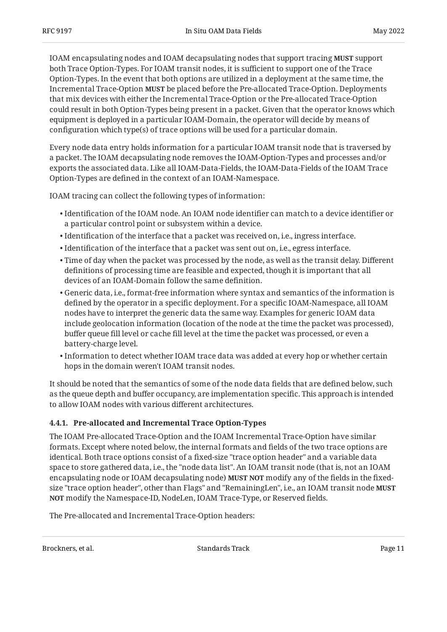IOAM encapsulating nodes and IOAM decapsulating nodes that support tracing **MUST** support both Trace Option-Types. For IOAM transit nodes, it is sufficient to support one of the Trace Option-Types. In the event that both options are utilized in a deployment at the same time, the Incremental Trace-Option **MUST** be placed before the Pre-allocated Trace-Option. Deployments that mix devices with either the Incremental Trace-Option or the Pre-allocated Trace-Option could result in both Option-Types being present in a packet. Given that the operator knows which equipment is deployed in a particular IOAM-Domain, the operator will decide by means of configuration which type(s) of trace options will be used for a particular domain.

Every node data entry holds information for a particular IOAM transit node that is traversed by a packet. The IOAM decapsulating node removes the IOAM-Option-Types and processes and/or exports the associated data. Like all IOAM-Data-Fields, the IOAM-Data-Fields of the IOAM Trace Option-Types are defined in the context of an IOAM-Namespace.

IOAM tracing can collect the following types of information:

- $\bullet$  Identification of the IOAM node. An IOAM node identifier can match to a device identifier or a particular control point or subsystem within a device.
- $\bullet$  Identification of the interface that a packet was received on, i.e., ingress interface.
- $\bullet$  Identification of the interface that a packet was sent out on, i.e., egress interface.
- $\bullet$  Time of day when the packet was processed by the node, as well as the transit delay. Different definitions of processing time are feasible and expected, though it is important that all devices of an IOAM-Domain follow the same definition.
- Generic data, i.e., format-free information where syntax and semantics of the information is defined by the operator in a specific deployment. For a specific IOAM-Namespace, all IOAM nodes have to interpret the generic data the same way. Examples for generic IOAM data include geolocation information (location of the node at the time the packet was processed), buffer queue fill level or cache fill level at the time the packet was processed, or even a battery-charge level.
- $\bullet$  Information to detect whether IOAM trace data was added at every hop or whether certain hops in the domain weren't IOAM transit nodes.

It should be noted that the semantics of some of the node data fields that are defined below, such as the queue depth and buffer occupancy, are implementation specific. This approach is intended to allow IOAM nodes with various different architectures.

### <span id="page-10-0"></span>**[4.4.1. Pre-allocated and Incremental Trace Option-Types](#page-10-0)**

The IOAM Pre-allocated Trace-Option and the IOAM Incremental Trace-Option have similar formats. Except where noted below, the internal formats and fields of the two trace options are identical. Both trace options consist of a fixed-size "trace option header" and a variable data space to store gathered data, i.e., the "node data list". An IOAM transit node (that is, not an IOAM encapsulating node or IOAM decapsulating node) MUST NOT modify any of the fields in the fixedsize "trace option header", other than Flags" and "RemainingLen", i.e., an IOAM transit node **MUST** modify the Namespace-ID, NodeLen, IOAM Trace-Type, or Reserved fields. **NOT**

The Pre-allocated and Incremental Trace-Option headers: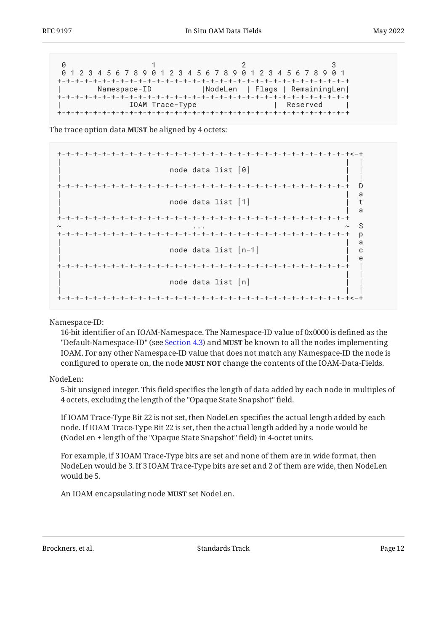|  |  | 0 1 2 3 4 5 6 7 8 9 0 1 2 3 4 5 6 7 8 9 0 1 2 3 4 5 6 7 8 9 0 1 |  |  |                 |  |  |  |  |  |  |  |  |            |  |                                |
|--|--|-----------------------------------------------------------------|--|--|-----------------|--|--|--|--|--|--|--|--|------------|--|--------------------------------|
|  |  |                                                                 |  |  |                 |  |  |  |  |  |  |  |  |            |  |                                |
|  |  | Namespace-ID                                                    |  |  |                 |  |  |  |  |  |  |  |  |            |  | NodeLen   Flags   RemainingLen |
|  |  |                                                                 |  |  | IOAM Trace-Type |  |  |  |  |  |  |  |  | l Reserved |  |                                |
|  |  |                                                                 |  |  |                 |  |  |  |  |  |  |  |  |            |  |                                |

The trace option data MUST be aligned by 4 octets:

| node data list [0]               |  |
|----------------------------------|--|
| D                                |  |
| а<br>node data list [1]<br>a     |  |
|                                  |  |
| <sub>S</sub><br>$\sim$<br>p      |  |
| a<br>node data list $[n-1]$<br>C |  |
| e                                |  |
| node data list [n]               |  |
|                                  |  |

Namespace-ID:

16-bit identifier of an IOAM-Namespace. The Namespace-ID value of 0x0000 is defined as the "Default-Namespace-ID" (see [Section 4.3\)](#page-7-0) and **MUST** be known to all the nodes implementing IOAM. For any other Namespace-ID value that does not match any Namespace-ID the node is configured to operate on, the node **MUST NOT** change the contents of the IOAM-Data-Fields.

NodeLen:

5-bit unsigned integer. This field specifies the length of data added by each node in multiples of 4 octets, excluding the length of the "Opaque State Snapshot" field.

If IOAM Trace-Type Bit 22 is not set, then NodeLen specifies the actual length added by each node. If IOAM Trace-Type Bit 22 is set, then the actual length added by a node would be (NodeLen + length of the "Opaque State Snapshot" field) in 4-octet units.

For example, if 3 IOAM Trace-Type bits are set and none of them are in wide format, then NodeLen would be 3. If 3 IOAM Trace-Type bits are set and 2 of them are wide, then NodeLen would be 5.

An IOAM encapsulating node **MUST** set NodeLen.

Brockners, et al. Standards Track Page 12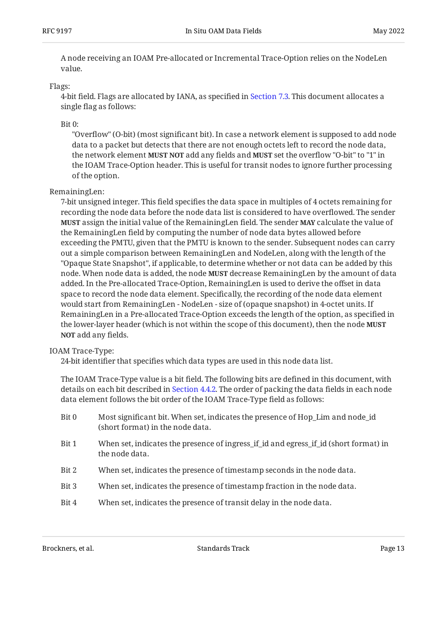A node receiving an IOAM Pre-allocated or Incremental Trace-Option relies on the NodeLen value.

#### Flags:

<span id="page-12-1"></span>4-bit field. Flags are allocated by IANA, as specified in [Section 7.3.](#page-30-0) This document allocates a single flag as follows:

#### Bit 0:

"Overflow" (O-bit) (most significant bit). In case a network element is supposed to add node data to a packet but detects that there are not enough octets left to record the node data, the network element **MUST NOT** add any fields and **MUST** set the overflow "O-bit" to "1" in the IOAM Trace-Option header. This is useful for transit nodes to ignore further processing of the option.

#### RemainingLen:

7-bit unsigned integer. This field specifies the data space in multiples of 4 octets remaining for recording the node data before the node data list is considered to have overflowed. The sender **MUST** assign the initial value of the RemainingLen field. The sender **MAY** calculate the value of the RemainingLen field by computing the number of node data bytes allowed before exceeding the PMTU, given that the PMTU is known to the sender. Subsequent nodes can carry out a simple comparison between RemainingLen and NodeLen, along with the length of the "Opaque State Snapshot", if applicable, to determine whether or not data can be added by this node. When node data is added, the node **MUST** decrease RemainingLen by the amount of data added. In the Pre-allocated Trace-Option, RemainingLen is used to derive the offset in data space to record the node data element. Specifically, the recording of the node data element would start from RemainingLen - NodeLen - size of (opaque snapshot) in 4-octet units. If RemainingLen in a Pre-allocated Trace-Option exceeds the length of the option, as specified in the lower-layer header (which is not within the scope of this document), then the node **MUST NOT** add any fields.

#### IOAM Trace-Type:

<span id="page-12-0"></span>24-bit identifier that specifies which data types are used in this node data list.

The IOAM Trace-Type value is a bit field. The following bits are defined in this document, with details on each bit described in [Section 4.4.2](#page-14-0). The order of packing the data fields in each node data element follows the bit order of the IOAM Trace-Type field as follows:

- Bit 0 Most significant bit. When set, indicates the presence of Hop\_Lim and node\_id (short format) in the node data.
- Bit 1 When set, indicates the presence of ingress\_if\_id and egress\_if\_id (short format) in the node data.
- Bit 2 When set, indicates the presence of timestamp seconds in the node data.
- Bit 3 When set, indicates the presence of timestamp fraction in the node data.
- Bit 4 When set, indicates the presence of transit delay in the node data.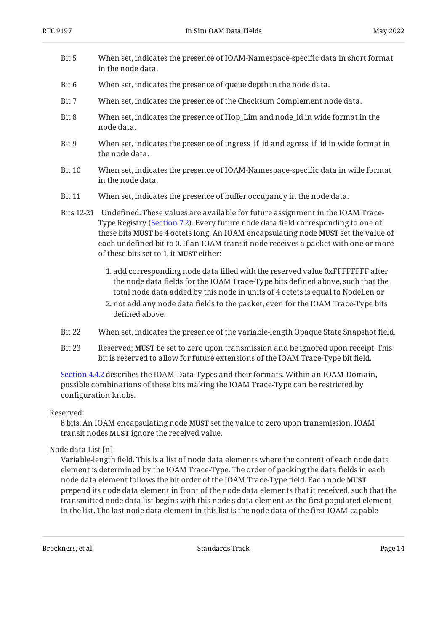- Bit 5 When set, indicates the presence of IOAM-Namespace-specific data in short format in the node data.
- Bit 6 When set, indicates the presence of queue depth in the node data.
- Bit 7 When set, indicates the presence of the Checksum Complement node data.
- Bit 8 When set, indicates the presence of Hop\_Lim and node\_id in wide format in the node data.
- Bit 9 When set, indicates the presence of ingress if id and egress if id in wide format in the node data.
- Bit 10 When set, indicates the presence of IOAM-Namespace-specific data in wide format in the node data.
- Bit 11 When set, indicates the presence of buffer occupancy in the node data.
- Bits 12-21 Undefined. These values are available for future assignment in the IOAM Trace-Type Registry [\(Section 7.2](#page-29-0)). Every future node data field corresponding to one of these bits **MUST** be 4 octets long. An IOAM encapsulating node **MUST** set the value of each undefined bit to 0. If an IOAM transit node receives a packet with one or more of these bits set to 1, it **MUST** either:
	- 1. add corresponding node data filled with the reserved value 0xFFFFFFFF after the node data fields for the IOAM Trace-Type bits defined above, such that the total node data added by this node in units of 4 octets is equal to NodeLen or
	- 2. not add any node data fields to the packet, even for the IOAM Trace-Type bits defined above.
- Bit 22 When set, indicates the presence of the variable-length Opaque State Snapshot field.
- Bit 23 Reserved; **MUST** be set to zero upon transmission and be ignored upon receipt. This bit is reserved to allow for future extensions of the IOAM Trace-Type bit field.

[Section 4.4.2](#page-14-0) describes the IOAM-Data-Types and their formats. Within an IOAM-Domain, possible combinations of these bits making the IOAM Trace-Type can be restricted by configuration knobs.

#### Reserved:

8 bits. An IOAM encapsulating node **MUST** set the value to zero upon transmission. IOAM transit nodes **MUST** ignore the received value.

#### Node data List [n]:

Variable-length field. This is a list of node data elements where the content of each node data element is determined by the IOAM Trace-Type. The order of packing the data fields in each node data element follows the bit order of the IOAM Trace-Type field. Each node **MUST** prepend its node data element in front of the node data elements that it received, such that the transmitted node data list begins with this node's data element as the first populated element in the list. The last node data element in this list is the node data of the first IOAM-capable

Brockners, et al. The contract of the Standards Track Change 14 and 2011 11:30 and 2012 11:30 Page 14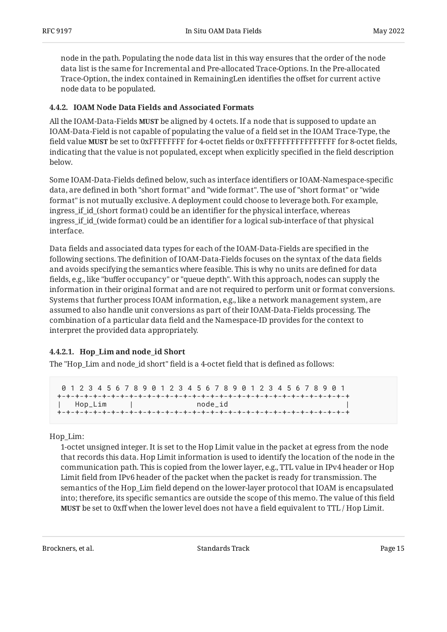node in the path. Populating the node data list in this way ensures that the order of the node data list is the same for Incremental and Pre-allocated Trace-Options. In the Pre-allocated Trace-Option, the index contained in RemainingLen identifies the offset for current active node data to be populated.

### <span id="page-14-0"></span>**[4.4.2. IOAM Node Data Fields and Associated Formats](#page-14-0)**

All the IOAM-Data-Fields **MUST** be aligned by 4 octets. If a node that is supposed to update an IOAM-Data-Field is not capable of populating the value of a field set in the IOAM Trace-Type, the field value **MUST** be set to 0xFFFFFFFF for 4-octet fields or 0xFFFFFFFFFFFFFFFF for 8-octet fields, indicating that the value is not populated, except when explicitly specified in the field description below.

Some IOAM-Data-Fields defined below, such as interface identifiers or IOAM-Namespace-specific data, are defined in both "short format" and "wide format". The use of "short format" or "wide format" is not mutually exclusive. A deployment could choose to leverage both. For example, ingress\_if\_id\_(short format) could be an identifier for the physical interface, whereas ingress\_if\_id\_(wide format) could be an identifier for a logical sub-interface of that physical interface.

Data fields and associated data types for each of the IOAM-Data-Fields are specified in the following sections. The definition of IOAM-Data-Fields focuses on the syntax of the data fields and avoids specifying the semantics where feasible. This is why no units are defined for data fields, e.g., like "buffer occupancy" or "queue depth". With this approach, nodes can supply the information in their original format and are not required to perform unit or format conversions. Systems that further process IOAM information, e.g., like a network management system, are assumed to also handle unit conversions as part of their IOAM-Data-Fields processing. The combination of a particular data field and the Namespace-ID provides for the context to interpret the provided data appropriately.

### <span id="page-14-1"></span>**[4.4.2.1. Hop\\_Lim and node\\_id Short](#page-14-1)**

The "Hop\_Lim and node\_id short" field is a 4-octet field that is defined as follows:

|         | 8 1 2 3 4 5 6 7 8 9 8 1 2 3 4 5 6 7 8 9 8 1 2 3 4 5 6 7 8 9 8 1 |  |  |  |  |  |  |  |         |  |  |  |  |  |  |  |
|---------|-----------------------------------------------------------------|--|--|--|--|--|--|--|---------|--|--|--|--|--|--|--|
|         |                                                                 |  |  |  |  |  |  |  |         |  |  |  |  |  |  |  |
| Hop_Lim |                                                                 |  |  |  |  |  |  |  | node id |  |  |  |  |  |  |  |
|         |                                                                 |  |  |  |  |  |  |  |         |  |  |  |  |  |  |  |

#### Hop\_Lim:

1-octet unsigned integer. It is set to the Hop Limit value in the packet at egress from the node that records this data. Hop Limit information is used to identify the location of the node in the communication path. This is copied from the lower layer, e.g., TTL value in IPv4 header or Hop Limit field from IPv6 header of the packet when the packet is ready for transmission. The semantics of the Hop\_Lim field depend on the lower-layer protocol that IOAM is encapsulated into; therefore, its specific semantics are outside the scope of this memo. The value of this field **MUST** be set to 0xff when the lower level does not have a field equivalent to TTL / Hop Limit.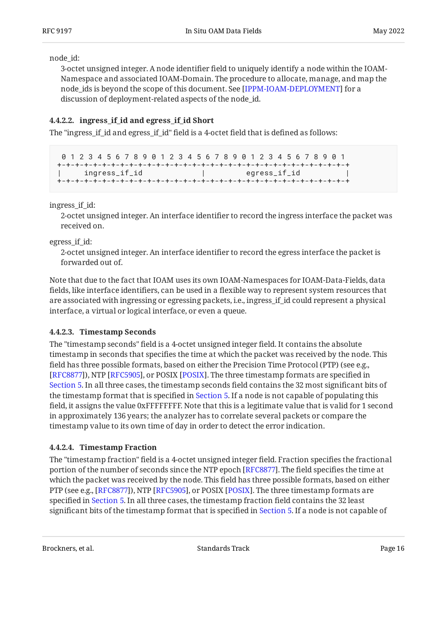node\_id:

3-octet unsigned integer. A node identifier field to uniquely identify a node within the IOAM-Namespace and associated IOAM-Domain. The procedure to allocate, manage, and map the node\_ids is beyond the scope of this document. See [IPPM-IOAM-DEPLOYMENT] for a discussion of deployment-related aspects of the node\_id.

#### <span id="page-15-0"></span>**[4.4.2.2. ingress\\_if\\_id and egress\\_if\\_id Short](#page-15-0)**

The "ingress if id and egress if id" field is a 4-octet field that is defined as follows:

```
 0 1 2 3 4 5 6 7 8 9 0 1 2 3 4 5 6 7 8 9 0 1 2 3 4 5 6 7 8 9 0 1
+-+-+-+-+-+-+-+-+-+-+-+-+-+-+-+-+-+-+-+-+-+-+-+-+-+-+-+-+-+-+-+-+
| ingress_if_id | egress_if_id
+-+-+-+-+-+-+-+-+-+-+-+-+-+-+-+-+-+-+-+-+-+-+-+-+-+-+-+-+-+-+-+-+
```
ingress\_if\_id:

2-octet unsigned integer. An interface identifier to record the ingress interface the packet was received on.

egress if id:

2-octet unsigned integer. An interface identifier to record the egress interface the packet is forwarded out of.

Note that due to the fact that IOAM uses its own IOAM-Namespaces for IOAM-Data-Fields, data fields, like interface identifiers, can be used in a flexible way to represent system resources that are associated with ingressing or egressing packets, i.e., ingress if id could represent a physical interface, a virtual or logical interface, or even a queue.

#### <span id="page-15-1"></span>**[4.4.2.3. Timestamp Seconds](#page-15-1)**

The "timestamp seconds" field is a 4-octet unsigned integer field. It contains the absolute timestamp in seconds that specifies the time at which the packet was received by the node. This field has three possible formats, based on either the Precision Time Protocol (PTP) (see e.g., [[RFC8877\]](#page-36-5)), NTP [RFC5905], or POSIX [POSIX]. The three timestamp formats are specified in [Section 5.](#page-25-0) In all three cases, the timestamp seconds field contains the 32 most significant bits of the timestamp format that is specified in [Section 5.](#page-25-0) If a node is not capable of populating this field, it assigns the value 0xFFFFFFFF. Note that this is a legitimate value that is valid for 1 second in approximately 136 years; the analyzer has to correlate several packets or compare the timestamp value to its own time of day in order to detect the error indication.

### <span id="page-15-2"></span>**[4.4.2.4. Timestamp Fraction](#page-15-2)**

The "timestamp fraction" field is a 4-octet unsigned integer field. Fraction specifies the fractional portion of the number of seconds since the NTP epoch [RFC8877]. The field specifies the time at which the packet was received by the node. This field has three possible formats, based on either PTP (see e.g., [\[RFC8877](#page-36-5)]), NTP [[RFC5905\]](#page-35-4), or POSIX [[POSIX\]](#page-34-3). The three timestamp formats are specified in [Section 5.](#page-25-0) In all three cases, the timestamp fraction field contains the 32 least significant bits of the timestamp format that is specified in [Section 5.](#page-25-0) If a node is not capable of

Brockners, et al. The contract of the standards Standards Track Page 16 and the contract Page 16 and 2011 11:00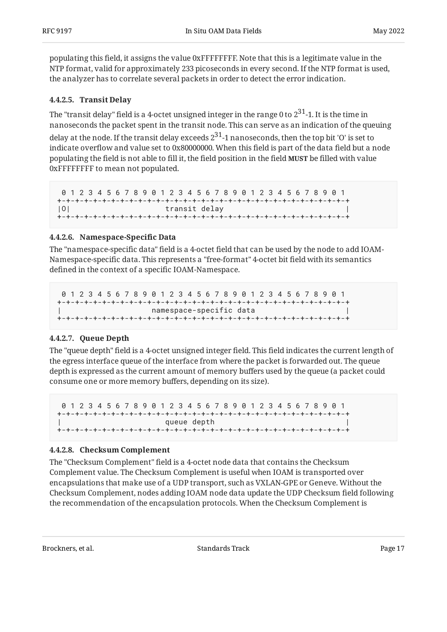populating this field, it assigns the value 0xFFFFFFFF. Note that this is a legitimate value in the NTP format, valid for approximately 233 picoseconds in every second. If the NTP format is used, the analyzer has to correlate several packets in order to detect the error indication.

### <span id="page-16-0"></span>**[4.4.2.5. Transit Delay](#page-16-0)**

The "transit delay" field is a 4-octet unsigned integer in the range 0 to  $2^{31}$ -1. It is the time in nanoseconds the packet spent in the transit node. This can serve as an indication of the queuing

delay at the node. If the transit delay exceeds  $2^{31}$ -1 nanoseconds, then the top bit 'O' is set to indicate overflow and value set to 0x80000000. When this field is part of the data field but a node populating the field is not able to fill it, the field position in the field **MUST** be filled with value 0xFFFFFFFF to mean not populated.

 0 1 2 3 4 5 6 7 8 9 0 1 2 3 4 5 6 7 8 9 0 1 2 3 4 5 6 7 8 9 0 1 +-+-+-+-+-+-+-+-+-+-+-+-+-+-+-+-+-+-+-+-+-+-+-+-+-+-+-+-+-+-+-+-+ |0| transit delay +-+-+-+-+-+-+-+-+-+-+-+-+-+-+-+-+-+-+-+-+-+-+-+-+-+-+-+-+-+-+-+-+

#### <span id="page-16-1"></span>**[4.4.2.6. Namespace-Speci](#page-16-1)fic Data**

The "namespace-specific data" field is a 4-octet field that can be used by the node to add IOAM-Namespace-specific data. This represents a "free-format" 4-octet bit field with its semantics defined in the context of a specific IOAM-Namespace.

 0 1 2 3 4 5 6 7 8 9 0 1 2 3 4 5 6 7 8 9 0 1 2 3 4 5 6 7 8 9 0 1 +-+-+-+-+-+-+-+-+-+-+-+-+-+-+-+-+-+-+-+-+-+-+-+-+-+-+-+-+-+-+-+-+ | namespace-specific data | +-+-+-+-+-+-+-+-+-+-+-+-+-+-+-+-+-+-+-+-+-+-+-+-+-+-+-+-+-+-+-+-+

#### <span id="page-16-2"></span>**[4.4.2.7. Queue Depth](#page-16-2)**

The "queue depth" field is a 4-octet unsigned integer field. This field indicates the current length of the egress interface queue of the interface from where the packet is forwarded out. The queue depth is expressed as the current amount of memory buffers used by the queue (a packet could consume one or more memory buffers, depending on its size).

 0 1 2 3 4 5 6 7 8 9 0 1 2 3 4 5 6 7 8 9 0 1 2 3 4 5 6 7 8 9 0 1 +-+-+-+-+-+-+-+-+-+-+-+-+-+-+-+-+-+-+-+-+-+-+-+-+-+-+-+-+-+-+-+-+ queue depth +-+-+-+-+-+-+-+-+-+-+-+-+-+-+-+-+-+-+-+-+-+-+-+-+-+-+-+-+-+-+-+-+

### <span id="page-16-3"></span>**[4.4.2.8. Checksum Complement](#page-16-3)**

The "Checksum Complement" field is a 4-octet node data that contains the Checksum Complement value. The Checksum Complement is useful when IOAM is transported over encapsulations that make use of a UDP transport, such as VXLAN-GPE or Geneve. Without the Checksum Complement, nodes adding IOAM node data update the UDP Checksum field following the recommendation of the encapsulation protocols. When the Checksum Complement is

Brockners, et al. The contract of the standards Standards Track Page 17 and the contract Page 17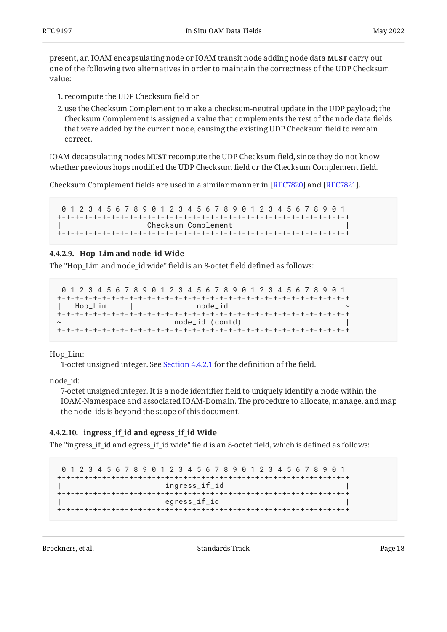present, an IOAM encapsulating node or IOAM transit node adding node data **MUST** carry out one of the following two alternatives in order to maintain the correctness of the UDP Checksum value:

- 1. recompute the UDP Checksum field or
- 2. use the Checksum Complement to make a checksum-neutral update in the UDP payload; the Checksum Complement is assigned a value that complements the rest of the node data fields that were added by the current node, causing the existing UDP Checksum field to remain correct.

IOAM decapsulating nodes **MUST** recompute the UDP Checksum field, since they do not know whether previous hops modified the UDP Checksum field or the Checksum Complement field.

Checksum Complement fields are used in a similar manner in  $[RFC7820]$  and  $[RFC7821]$ .

```
 0 1 2 3 4 5 6 7 8 9 0 1 2 3 4 5 6 7 8 9 0 1 2 3 4 5 6 7 8 9 0 1
+-+-+-+-+-+-+-+-+-+-+-+-+-+-+-+-+-+-+-+-+-+-+-+-+-+-+-+-+-+-+-+-+
                    Checksum Complement
+-+-+-+-+-+-+-+-+-+-+-+-+-+-+-+-+-+-+-+-+-+-+-+-+-+-+-+-+-+-+-+-+
```
#### <span id="page-17-0"></span>**[4.4.2.9. Hop\\_Lim and node\\_id Wide](#page-17-0)**

The "Hop Lim and node id wide" field is an 8-octet field defined as follows:

```
 0 1 2 3 4 5 6 7 8 9 0 1 2 3 4 5 6 7 8 9 0 1 2 3 4 5 6 7 8 9 0 1
+-+-+-+-+-+-+-+-+-+-+-+-+-+-+-+-+-+-+-+-+-+-+-+-+-+-+-+-+-+-+-+-+
| Hop_Lim | node_id ~
+-+-+-+-+-+-+-+-+-+-+-+-+-+-+-+-+-+-+-+-+-+-+-+-+-+-+-+-+-+-+-+-+
~ node_id (contd) |
+-+-+-+-+-+-+-+-+-+-+-+-+-+-+-+-+-+-+-+-+-+-+-+-+-+-+-+-+-+-+-+-+
```
Hop\_Lim:

1-octet unsigned integer. See [Section 4.4.2.1](#page-14-1) for the definition of the field.

node\_id:

7-octet unsigned integer. It is a node identifier field to uniquely identify a node within the IOAM-Namespace and associated IOAM-Domain. The procedure to allocate, manage, and map the node\_ids is beyond the scope of this document.

#### <span id="page-17-1"></span>**[4.4.2.10. ingress\\_if\\_id and egress\\_if\\_id Wide](#page-17-1)**

The "ingress\_if\_id and egress\_if\_id wide" field is an 8-octet field, which is defined as follows:

 0 1 2 3 4 5 6 7 8 9 0 1 2 3 4 5 6 7 8 9 0 1 2 3 4 5 6 7 8 9 0 1 +-+-+-+-+-+-+-+-+-+-+-+-+-+-+-+-+-+-+-+-+-+-+-+-+-+-+-+-+-+-+-+-+ ingress\_if\_id +-+-+-+-+-+-+-+-+-+-+-+-+-+-+-+-+-+-+-+-+-+-+-+-+-+-+-+-+-+-+-+-+ | egress\_if\_id | +-+-+-+-+-+-+-+-+-+-+-+-+-+-+-+-+-+-+-+-+-+-+-+-+-+-+-+-+-+-+-+-+

Brockners, et al. The contraction of the Standards Track Page 18 Page 18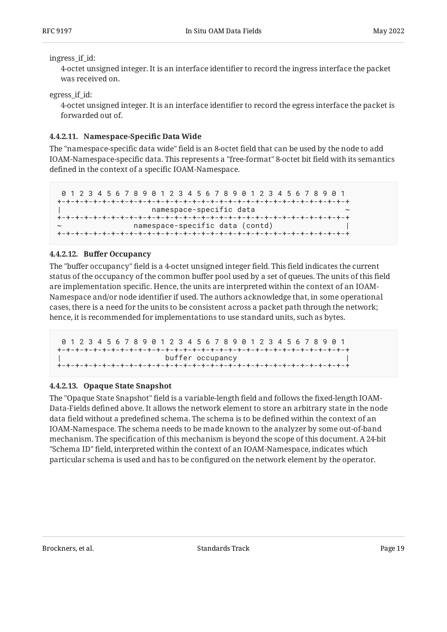#### ingress\_if\_id:

4-octet unsigned integer. It is an interface identifier to record the ingress interface the packet was received on.

egress\_if\_id:

4-octet unsigned integer. It is an interface identifier to record the egress interface the packet is forwarded out of.

### <span id="page-18-0"></span>**[4.4.2.11. Namespace-Speci](#page-18-0)fic Data Wide**

The "namespace-specific data wide" field is an 8-octet field that can be used by the node to add IOAM-Namespace-specific data. This represents a "free-format" 8-octet bit field with its semantics defined in the context of a specific IOAM-Namespace.

```
 0 1 2 3 4 5 6 7 8 9 0 1 2 3 4 5 6 7 8 9 0 1 2 3 4 5 6 7 8 9 0 1
+-+-+-+-+-+-+-+-+-+-+-+-+-+-+-+-+-+-+-+-+-+-+-+-+-+-+-+-+-+-+-+-+
                     | namespace-specific data ~
+-+-+-+-+-+-+-+-+-+-+-+-+-+-+-+-+-+-+-+-+-+-+-+-+-+-+-+-+-+-+-+-+
                 namespace-specific data (contd)
+-+-+-+-+-+-+-+-+-+-+-+-+-+-+-+-+-+-+-+-+-+-+-+-+-+-+-+-+-+-+-+-+
```
#### <span id="page-18-1"></span>**[4.4.2.12. B](#page-18-1)uff[er Occupancy](#page-18-1)**

The "buffer occupancy" field is a 4-octet unsigned integer field. This field indicates the current status of the occupancy of the common buffer pool used by a set of queues. The units of this field are implementation specific. Hence, the units are interpreted within the context of an IOAM-Namespace and/or node identifier if used. The authors acknowledge that, in some operational cases, there is a need for the units to be consistent across a packet path through the network; hence, it is recommended for implementations to use standard units, such as bytes.

```
 0 1 2 3 4 5 6 7 8 9 0 1 2 3 4 5 6 7 8 9 0 1 2 3 4 5 6 7 8 9 0 1
+-+-+-+-+-+-+-+-+-+-+-+-+-+-+-+-+-+-+-+-+-+-+-+-+-+-+-+-+-+-+-+-+
                        buffer occupancy
+-+-+-+-+-+-+-+-+-+-+-+-+-+-+-+-+-+-+-+-+-+-+-+-+-+-+-+-+-+-+-+-+
```
### <span id="page-18-2"></span>**[4.4.2.13. Opaque State Snapshot](#page-18-2)**

The "Opaque State Snapshot" field is a variable-length field and follows the fixed-length IOAM-Data-Fields defined above. It allows the network element to store an arbitrary state in the node data field without a predefined schema. The schema is to be defined within the context of an IOAM-Namespace. The schema needs to be made known to the analyzer by some out-of-band mechanism. The specification of this mechanism is beyond the scope of this document. A 24-bit "Schema ID" field, interpreted within the context of an IOAM-Namespace, indicates which particular schema is used and has to be configured on the network element by the operator.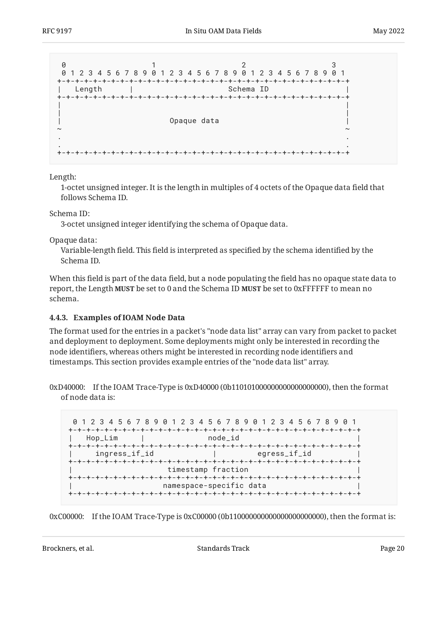

Length:

1-octet unsigned integer. It is the length in multiples of 4 octets of the Opaque data field that follows Schema ID.

Schema ID:

3-octet unsigned integer identifying the schema of Opaque data.

Opaque data:

Variable-length field. This field is interpreted as specified by the schema identified by the Schema ID.

When this field is part of the data field, but a node populating the field has no opaque state data to **report, the Length MUST be set to 0 and the Schema ID <b>MUST** be set to 0xFFFFFF to mean no schema.

#### <span id="page-19-0"></span>**[4.4.3. Examples of IOAM Node Data](#page-19-0)**

The format used for the entries in a packet's "node data list" array can vary from packet to packet and deployment to deployment. Some deployments might only be interested in recording the node identifiers, whereas others might be interested in recording node identifiers and timestamps. This section provides example entries of the "node data list" array.

0xD40000: If the IOAM Trace-Type is 0xD40000 (0b110101000000000000000000), then the format of node data is:

 0 1 2 3 4 5 6 7 8 9 0 1 2 3 4 5 6 7 8 9 0 1 2 3 4 5 6 7 8 9 0 1 +-+-+-+-+-+-+-+-+-+-+-+-+-+-+-+-+-+-+-+-+-+-+-+-+-+-+-+-+-+-+-+-+ | Hop\_Lim | node\_id | +-+-+-+-+-+-+-+-+-+-+-+-+-+-+-+-+-+-+-+-+-+-+-+-+-+-+-+-+-+-+-+-+ ingress\_if\_id +-+-+-+-+-+-+-+-+-+-+-+-+-+-+-+-+-+-+-+-+-+-+-+-+-+-+-+-+-+-+-+-+ timestamp fraction +-+-+-+-+-+-+-+-+-+-+-+-+-+-+-+-+-+-+-+-+-+-+-+-+-+-+-+-+-+-+-+-+ | namespace-specific data | +-+-+-+-+-+-+-+-+-+-+-+-+-+-+-+-+-+-+-+-+-+-+-+-+-+-+-+-+-+-+-+-+

0xC00000: If the IOAM Trace-Type is 0xC00000 (0b110000000000000000000000), then the format is:

Brockners, et al. The contract of the standards Standards Track Page 20 and the contract Page 20 and the contract Page 20 and the contract Page 20 and the contract Page 20 and the contract Page 20 and the contract Page 20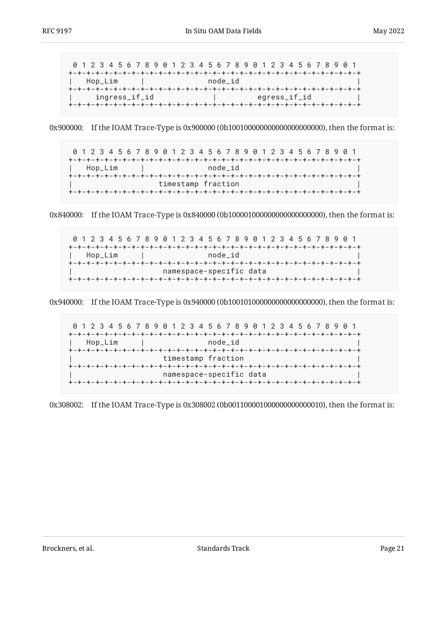0 1 2 3 4 5 6 7 8 9 0 1 2 3 4 5 6 7 8 9 0 1 2 3 4 5 6 7 8 9 0 1 +-+-+-+-+-+-+-+-+-+-+-+-+-+-+-+-+-+-+-+-+-+-+-+-+-+-+-+-+-+-+-+-+ | Hop\_Lim | node\_id | +-+-+-+-+-+-+-+-+-+-+-+-+-+-+-+-+-+-+-+-+-+-+-+-+-+-+-+-+-+-+-+-+ ingress\_if\_id ingress\_if\_id +-+-+-+-+-+-+-+-+-+-+-+-+-+-+-+-+-+-+-+-+-+-+-+-+-+-+-+-+-+-+-+-+

0x900000: If the IOAM Trace-Type is 0x900000 (0b100100000000000000000000), then the format is:

 0 1 2 3 4 5 6 7 8 9 0 1 2 3 4 5 6 7 8 9 0 1 2 3 4 5 6 7 8 9 0 1 +-+-+-+-+-+-+-+-+-+-+-+-+-+-+-+-+-+-+-+-+-+-+-+-+-+-+-+-+-+-+-+-+ | Hop\_Lim | node\_id | +-+-+-+-+-+-+-+-+-+-+-+-+-+-+-+-+-+-+-+-+-+-+-+-+-+-+-+-+-+-+-+-+ timestamp fraction +-+-+-+-+-+-+-+-+-+-+-+-+-+-+-+-+-+-+-+-+-+-+-+-+-+-+-+-+-+-+-+-+

0x840000: If the IOAM Trace-Type is 0x840000 (0b100001000000000000000000), then the format is:

 0 1 2 3 4 5 6 7 8 9 0 1 2 3 4 5 6 7 8 9 0 1 2 3 4 5 6 7 8 9 0 1 +-+-+-+-+-+-+-+-+-+-+-+-+-+-+-+-+-+-+-+-+-+-+-+-+-+-+-+-+-+-+-+-+ | Hop\_Lim | node\_id | +-+-+-+-+-+-+-+-+-+-+-+-+-+-+-+-+-+-+-+-+-+-+-+-+-+-+-+-+-+-+-+-+ namespace-specific data +-+-+-+-+-+-+-+-+-+-+-+-+-+-+-+-+-+-+-+-+-+-+-+-+-+-+-+-+-+-+-+-+

0x940000: If the IOAM Trace-Type is 0x940000 (0b100101000000000000000000), then the format is:

 0 1 2 3 4 5 6 7 8 9 0 1 2 3 4 5 6 7 8 9 0 1 2 3 4 5 6 7 8 9 0 1 +-+-+-+-+-+-+-+-+-+-+-+-+-+-+-+-+-+-+-+-+-+-+-+-+-+-+-+-+-+-+-+-+ | Hop\_Lim | node\_id | +-+-+-+-+-+-+-+-+-+-+-+-+-+-+-+-+-+-+-+-+-+-+-+-+-+-+-+-+-+-+-+-+ | timestamp fraction | +-+-+-+-+-+-+-+-+-+-+-+-+-+-+-+-+-+-+-+-+-+-+-+-+-+-+-+-+-+-+-+-+ | namespace-specific data | +-+-+-+-+-+-+-+-+-+-+-+-+-+-+-+-+-+-+-+-+-+-+-+-+-+-+-+-+-+-+-+-+

0x308002: If the IOAM Trace-Type is 0x308002 (0b001100001000000000000010), then the format is:

Brockners, et al. The contract of the standards Standards Track Page 21 and 21 and 21 and 21 and 21 and 21 and 21 and 21 and 21 and 21 and 21 and 21 and 21 and 21 and 21 and 21 and 22 and 22 and 22 and 22 and 22 and 22 and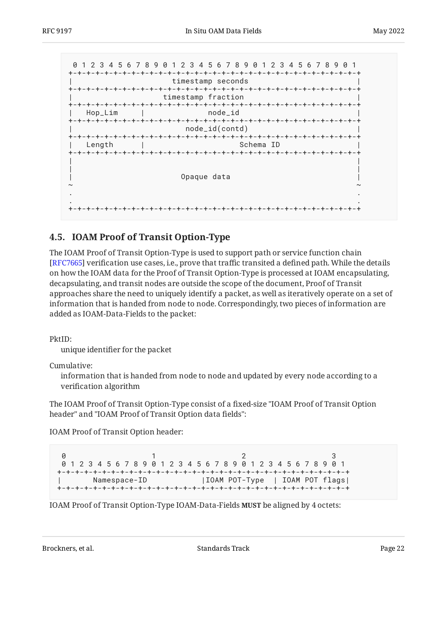```
 0 1 2 3 4 5 6 7 8 9 0 1 2 3 4 5 6 7 8 9 0 1 2 3 4 5 6 7 8 9 0 1
+-+-+-+-+-+-+-+-+-+-+-+-+-+-+-+-+-+-+-+-+-+-+-+-+-+-+-+-+-+-+-+-+
               | timestamp seconds |
+-+-+-+-+-+-+-+-+-+-+-+-+-+-+-+-+-+-+-+-+-+-+-+-+-+-+-+-+-+-+-+-+
             | timestamp fraction |
+-+-+-+-+-+-+-+-+-+-+-+-+-+-+-+-+-+-+-+-+-+-+-+-+-+-+-+-+-+-+-+-+
 | Hop_Lim
+-+-+-+-+-+-+-+-+-+-+-+-+-+-+-+-+-+-+-+-+-+-+-+-+-+-+-+-+-+-+-+-+
                | node_id(contd) |
+-+-+-+-+-+-+-+-+-+-+-+-+-+-+-+-+-+-+-+-+-+-+-+-+-+-+-+-+-+-+-+-+
 | Length | Schema ID
+-+-+-+-+-+-+-+-+-+-+-+-+-+-+-+-+-+-+-+-+-+-+-+-+-+-+-+-+-+-+-+-+
| |
| |
| Opaque data | Opaque data | |
~ ~
. .
. .
+-+-+-+-+-+-+-+-+-+-+-+-+-+-+-+-+-+-+-+-+-+-+-+-+-+-+-+-+-+-+-+-+
```
## <span id="page-21-0"></span>**[4.5. IOAM Proof of Transit Option-Type](#page-21-0)**

The IOAM Proof of Transit Option-Type is used to support path or service function chain [[RFC7665\]](#page-36-8) verification use cases, i.e., prove that traffic transited a defined path. While the details on how the IOAM data for the Proof of Transit Option-Type is processed at IOAM encapsulating, decapsulating, and transit nodes are outside the scope of the document, Proof of Transit approaches share the need to uniquely identify a packet, as well as iteratively operate on a set of information that is handed from node to node. Correspondingly, two pieces of information are added as IOAM-Data-Fields to the packet:

PktID:

unique identifier for the packet

Cumulative:

information that is handed from node to node and updated by every node according to a verification algorithm

The IOAM Proof of Transit Option-Type consist of a fixed-size "IOAM Proof of Transit Option header" and "IOAM Proof of Transit Option data fields":

IOAM Proof of Transit Option header:

```
0 1 2 3
 0 1 2 3 4 5 6 7 8 9 0 1 2 3 4 5 6 7 8 9 0 1 2 3 4 5 6 7 8 9 0 1
+-+-+-+-+-+-+-+-+-+-+-+-+-+-+-+-+-+-+-+-+-+-+-+-+-+-+-+-+-+-+-+-+
      Namespace-ID | IOAM POT-Type | IOAM POT flags|
+-+-+-+-+-+-+-+-+-+-+-+-+-+-+-+-+-+-+-+-+-+-+-+-+-+-+-+-+-+-+-+-+
```
IOAM Proof of Transit Option-Type IOAM-Data-Fields **MUST** be aligned by 4 octets:

Brockners, et al. The contract of the Standards Track Page 22 and the contract of the Page 22 and the Page 22 and the Page 22 and the Page 22 and the Page 22 and the Page 22 and the Page 22 and the Page 22 and the Page 22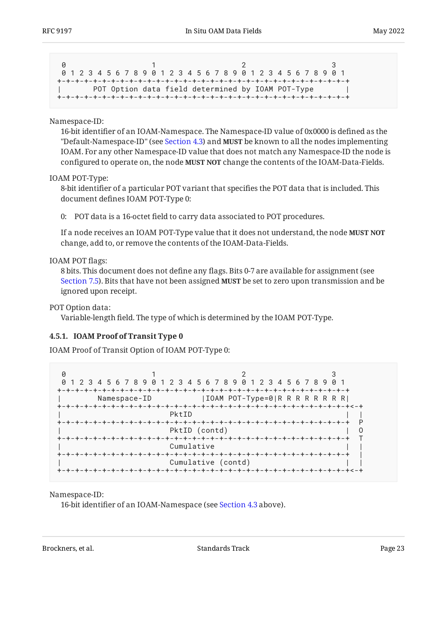|  |  | 0 1 2 3 4 5 6 7 8 9 0 1 2 3 4 5 6 7 8 9 0 1 2 3 4 5 6 7 8 9 0 1 |  |  |  |  |  |  |  |  |  |  |  |  |  |  |
|--|--|-----------------------------------------------------------------|--|--|--|--|--|--|--|--|--|--|--|--|--|--|
|  |  |                                                                 |  |  |  |  |  |  |  |  |  |  |  |  |  |  |
|  |  | POT Option data field determined by IOAM POT-Type               |  |  |  |  |  |  |  |  |  |  |  |  |  |  |
|  |  |                                                                 |  |  |  |  |  |  |  |  |  |  |  |  |  |  |

#### Namespace-ID:

16-bit identifier of an IOAM-Namespace. The Namespace-ID value of 0x0000 is defined as the "Default-Namespace-ID" (see [Section 4.3\)](#page-7-0) and **MUST** be known to all the nodes implementing IOAM. For any other Namespace-ID value that does not match any Namespace-ID the node is configured to operate on, the node **MUST NOT** change the contents of the IOAM-Data-Fields.

#### IOAM POT-Type:

8-bit identifier of a particular POT variant that specifies the POT data that is included. This document defines IOAM POT-Type 0:

0: POT data is a 16-octet field to carry data associated to POT procedures.

If a node receives an IOAM POT-Type value that it does not understand, the node **MUST NOT** change, add to, or remove the contents of the IOAM-Data-Fields.

#### IOAM POT flags:

8 bits. This document does not define any flags. Bits 0-7 are available for assignment (see [Section 7.5](#page-30-2)). Bits that have not been assigned **MUST** be set to zero upon transmission and be ignored upon receipt.

#### POT Option data:

Variable-length field. The type of which is determined by the IOAM POT-Type.

#### <span id="page-22-0"></span>**[4.5.1. IOAM Proof of Transit Type 0](#page-22-0)**

IOAM Proof of Transit Option of IOAM POT-Type 0:

```
0 1 2 3
 0 1 2 3 4 5 6 7 8 9 0 1 2 3 4 5 6 7 8 9 0 1 2 3 4 5 6 7 8 9 0 1
+-+-+-+-+-+-+-+-+-+-+-+-+-+-+-+-+-+-+-+-+-+-+-+-+-+-+-+-+-+-+-+-+
      Namespace-ID |IOAM POT-Type=0|R R R R R R R R R
+-+-+-+-+-+-+-+-+-+-+-+-+-+-+-+-+-+-+-+-+-+-+-+-+-+-+-+-+-+-+-+-+<-+
| PktID | |
+-+-+-+-+-+-+-+-+-+-+-+-+-+-+-+-+-+-+-+-+-+-+-+-+-+-+-+-+-+-+-+-+ P
                   PktID (contd) | O
+-+-+-+-+-+-+-+-+-+-+-+-+-+-+-+-+-+-+-+-+-+-+-+-+-+-+-+-+-+-+-+-+ T
                   Cumulative
+-+-+-+-+-+-+-+-+-+-+-+-+-+-+-+-+-+-+-+-+-+-+-+-+-+-+-+-+-+-+-+-+ |
                   Cumulative (contd)
+-+-+-+-+-+-+-+-+-+-+-+-+-+-+-+-+-+-+-+-+-+-+-+-+-+-+-+-+-+-+-+-+<-+
```
Namespace-ID:

16-bit identifier of an IOAM-Namespace (see [Section 4.3](#page-7-0) above).

Brockners, et al. The contract of the standards Standards Track Page 23 and the contract page 23 and the contract page 23 and the contract page 23 and the contract page 23 and the contract page 23 and the contract page 23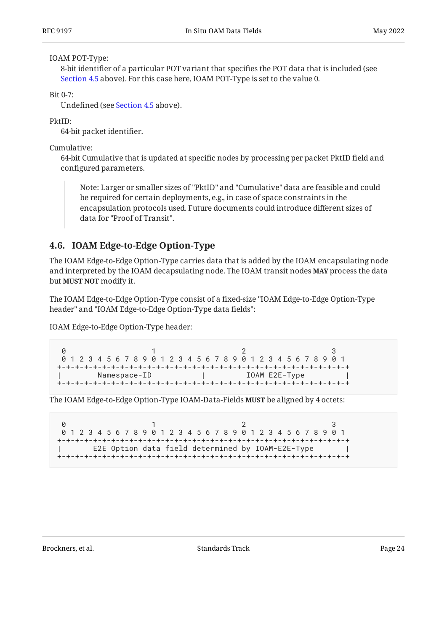#### IOAM POT-Type:

8-bit identifier of a particular POT variant that specifies the POT data that is included (see [Section 4.5](#page-21-0) above). For this case here, IOAM POT-Type is set to the value 0.

 $Bit 0-7$ 

Undefined (see [Section 4.5](#page-21-0) above).

PktID:

64-bit packet identifier.

Cumulative:

64-bit Cumulative that is updated at specific nodes by processing per packet PktID field and configured parameters.

Note: Larger or smaller sizes of "PktID" and "Cumulative" data are feasible and could be required for certain deployments, e.g., in case of space constraints in the encapsulation protocols used. Future documents could introduce different sizes of data for "Proof of Transit".

## <span id="page-23-0"></span>**[4.6. IOAM Edge-to-Edge Option-Type](#page-23-0)**

The IOAM Edge-to-Edge Option-Type carries data that is added by the IOAM encapsulating node and interpreted by the IOAM decapsulating node. The IOAM transit nodes **MAY** process the data but **MUST NOT** modify it.

The IOAM Edge-to-Edge Option-Type consist of a fixed-size "IOAM Edge-to-Edge Option-Type header" and "IOAM Edge-to-Edge Option-Type data fields":

IOAM Edge-to-Edge Option-Type header:

0 1 2 3 0 1 2 3 4 5 6 7 8 9 0 1 2 3 4 5 6 7 8 9 0 1 2 3 4 5 6 7 8 9 0 1 +-+-+-+-+-+-+-+-+-+-+-+-+-+-+-+-+-+-+-+-+-+-+-+-+-+-+-+-+-+-+-+-+ | IOAM E2E-Type +-+-+-+-+-+-+-+-+-+-+-+-+-+-+-+-+-+-+-+-+-+-+-+-+-+-+-+-+-+-+-+-+

The IOAM Edge-to-Edge Option-Type IOAM-Data-Fields **MUST** be aligned by 4 octets:

0 1 2 3 0 1 2 3 4 5 6 7 8 9 0 1 2 3 4 5 6 7 8 9 0 1 2 3 4 5 6 7 8 9 0 1 +-+-+-+-+-+-+-+-+-+-+-+-+-+-+-+-+-+-+-+-+-+-+-+-+-+-+-+-+-+-+-+-+ | E2E Option data field determined by IOAM-E2E-Type | +-+-+-+-+-+-+-+-+-+-+-+-+-+-+-+-+-+-+-+-+-+-+-+-+-+-+-+-+-+-+-+-+

Brockners, et al. The contract of the standards Standards Track Page 24 and 24 and 24 and 25 and 26 and 26 and 26 and 27 and 27 and 27 and 27 and 27 and 27 and 27 and 27 and 27 and 27 and 27 and 27 and 27 and 27 and 27 and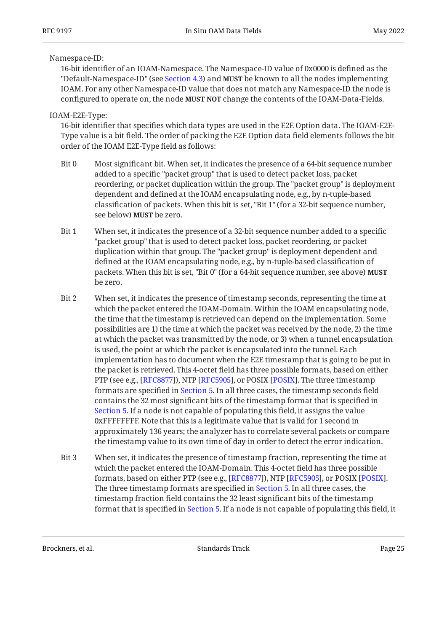#### Namespace-ID:

16-bit identifier of an IOAM-Namespace. The Namespace-ID value of 0x0000 is defined as the "Default-Namespace-ID" (see [Section 4.3\)](#page-7-0) and **MUST** be known to all the nodes implementing IOAM. For any other Namespace-ID value that does not match any Namespace-ID the node is configured to operate on, the node **MUST NOT** change the contents of the IOAM-Data-Fields.

IOAM-E2E-Type:

16-bit identifier that specifies which data types are used in the E2E Option data. The IOAM-E2E-Type value is a bit field. The order of packing the E2E Option data field elements follows the bit order of the IOAM E2E-Type field as follows:

- Bit 0 Most significant bit. When set, it indicates the presence of a 64-bit sequence number added to a specific "packet group" that is used to detect packet loss, packet reordering, or packet duplication within the group. The "packet group" is deployment dependent and defined at the IOAM encapsulating node, e.g., by n-tuple-based classification of packets. When this bit is set, "Bit 1" (for a 32-bit sequence number, see below) **MUST** be zero.
- Bit 1 When set, it indicates the presence of a 32-bit sequence number added to a specific "packet group" that is used to detect packet loss, packet reordering, or packet duplication within that group. The "packet group" is deployment dependent and defined at the IOAM encapsulating node, e.g., by n-tuple-based classification of packets. When this bit is set, "Bit 0" (for a 64-bit sequence number, see above) **MUST** be zero.
- Bit 2 When set, it indicates the presence of timestamp seconds, representing the time at which the packet entered the IOAM-Domain. Within the IOAM encapsulating node, the time that the timestamp is retrieved can depend on the implementation. Some possibilities are 1) the time at which the packet was received by the node, 2) the time at which the packet was transmitted by the node, or 3) when a tunnel encapsulation is used, the point at which the packet is encapsulated into the tunnel. Each implementation has to document when the E2E timestamp that is going to be put in the packet is retrieved. This 4-octet field has three possible formats, based on either PTP (see e.g., [RFC8877]), NTP [RFC5905], or POSIX [POSIX]. The three timestamp formats are specified in [Section 5.](#page-25-0) In all three cases, the timestamp seconds field contains the 32 most significant bits of the timestamp format that is specified in [Section 5.](#page-25-0) If a node is not capable of populating this field, it assigns the value 0xFFFFFFFF. Note that this is a legitimate value that is valid for 1 second in approximately 136 years; the analyzer has to correlate several packets or compare the timestamp value to its own time of day in order to detect the error indication.
- Bit 3 When set, it indicates the presence of timestamp fraction, representing the time at which the packet entered the IOAM-Domain. This 4-octet field has three possible formats, based on either PTP (see e.g., [\[RFC8877\]](#page-36-5)), NTP [\[RFC5905](#page-35-4)], or POSIX [\[POSIX](#page-34-3)]. The three timestamp formats are specified in [Section 5.](#page-25-0) In all three cases, the timestamp fraction field contains the 32 least significant bits of the timestamp format that is specified in [Section 5.](#page-25-0) If a node is not capable of populating this field, it

Brockners, et al. The contract of the standards Standards Track Page 25 and 25 and 25 and 25 and 26 and 26 and 26 and 27 and 27 and 27 and 27 and 27 and 27 and 27 and 27 and 27 and 27 and 27 and 27 and 27 and 27 and 27 and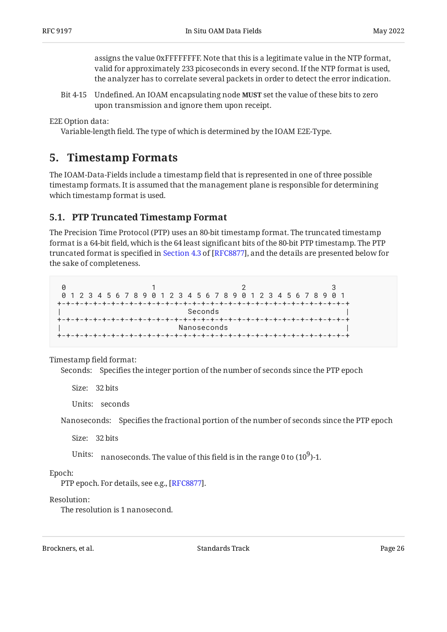assigns the value 0xFFFFFFFF. Note that this is a legitimate value in the NTP format, valid for approximately 233 picoseconds in every second. If the NTP format is used, the analyzer has to correlate several packets in order to detect the error indication.

Bit 4-15 Undefined. An IOAM encapsulating node **MUST** set the value of these bits to zero upon transmission and ignore them upon receipt.

E2E Option data:

<span id="page-25-0"></span>Variable-length field. The type of which is determined by the IOAM E2E-Type.

## **[5. Timestamp Formats](#page-25-0)**

The IOAM-Data-Fields include a timestamp field that is represented in one of three possible timestamp formats. It is assumed that the management plane is responsible for determining which timestamp format is used.

## <span id="page-25-1"></span>**[5.1. PTP Truncated Timestamp Format](#page-25-1)**

The Precision Time Protocol (PTP) uses an 80-bit timestamp format. The truncated timestamp format is a 64-bit field, which is the 64 least significant bits of the 80-bit PTP timestamp. The PTP truncatedformat is specified in Section 4.3 of [RFC8877], and the details are presented below for the sake of completeness.

0 1 2 3 0 1 2 3 4 5 6 7 8 9 0 1 2 3 4 5 6 7 8 9 0 1 2 3 4 5 6 7 8 9 0 1 +-+-+-+-+-+-+-+-+-+-+-+-+-+-+-+-+-+-+-+-+-+-+-+-+-+-+-+-+-+-+-+-+ | Seconds | Seconds | Seconds | Seconds | Seconds | Seconds | Seconds | Seconds | Seconds | Seconds | Seconds | +-+-+-+-+-+-+-+-+-+-+-+-+-+-+-+-+-+-+-+-+-+-+-+-+-+-+-+-+-+-+-+-+ Nanoseconds +-+-+-+-+-+-+-+-+-+-+-+-+-+-+-+-+-+-+-+-+-+-+-+-+-+-+-+-+-+-+-+-+

Timestamp field format:

Seconds: Specifies the integer portion of the number of seconds since the PTP epoch

Size: 32 bits

Units: seconds

Nanoseconds: Specifies the fractional portion of the number of seconds since the PTP epoch

Size: 32 bits

Units:  $\,$  nanoseconds. The value of this field is in the range 0 to (10 $^9$ )-1.

Epoch:

PTP epoch. For details, see e.g., [RFC8877].

Resolution:

The resolution is 1 nanosecond.

Brockners, et al. The contract of the standards Standards Track Contract Page 26 and 26 and 26 and 26 and 26 and 26 and 27 and 27 and 27 and 27 and 27 and 27 and 27 and 27 and 27 and 27 and 27 and 27 and 27 and 27 and 27 a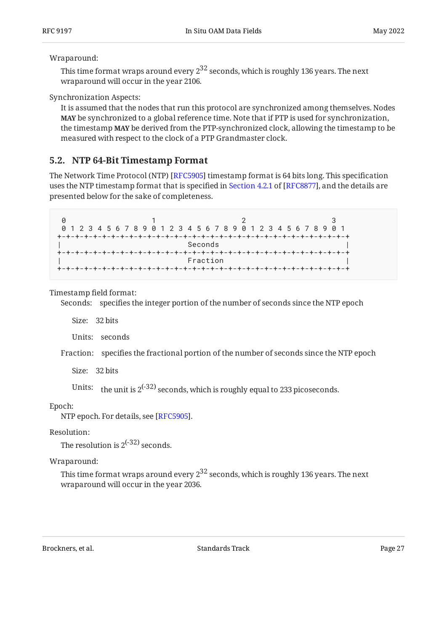#### Wraparound:

This time format wraps around every  $2^{32}$  seconds, which is roughly 136 years. The next wraparound will occur in the year 2106.

Synchronization Aspects:

It is assumed that the nodes that run this protocol are synchronized among themselves. Nodes **MAY** be synchronized to a global reference time. Note that if PTP is used for synchronization, the timestamp **MAY** be derived from the PTP-synchronized clock, allowing the timestamp to be measured with respect to the clock of a PTP Grandmaster clock.

## <span id="page-26-0"></span>**[5.2. NTP 64-Bit Timestamp Format](#page-26-0)**

The Network Time Protocol (NTP) [RFC5905] timestamp format is 64 bits long. This specification usesthe NTP timestamp format that is specified in Section 4.2.1 of [RFC8877], and the details are presented below for the sake of completeness.

0 1 2 3 0 1 2 3 4 5 6 7 8 9 0 1 2 3 4 5 6 7 8 9 0 1 2 3 4 5 6 7 8 9 0 1 +-+-+-+-+-+-+-+-+-+-+-+-+-+-+-+-+-+-+-+-+-+-+-+-+-+-+-+-+-+-+-+-+ Seconds +-+-+-+-+-+-+-+-+-+-+-+-+-+-+-+-+-+-+-+-+-+-+-+-+-+-+-+-+-+-+-+-+ | Fraction | +-+-+-+-+-+-+-+-+-+-+-+-+-+-+-+-+-+-+-+-+-+-+-+-+-+-+-+-+-+-+-+-+

Timestamp field format:

Seconds: specifies the integer portion of the number of seconds since the NTP epoch

Size: 32 bits

Units: seconds

Fraction: specifies the fractional portion of the number of seconds since the NTP epoch

Size: 32 bits

Units:  $\frac{t}{t}$  the unit is 2<sup>(-32)</sup> seconds, which is roughly equal to 233 picoseconds.

Epoch:

NTP epoch. For details, see [RFC5905].

Resolution:

The resolution is  $2^{(-32)}$  seconds.

Wraparound:

This time format wraps around every  $2^{32}$  seconds, which is roughly 136 years. The next wraparound will occur in the year 2036.

Brockners, et al. The contract of the Standards Track Page 27 (27 and 27 and 27 and 27 and 27 and 27 and 27 and 27 and 27 and 27 and 27 and 27 and 27 and 27 and 27 and 27 and 27 and 27 and 27 and 27 and 27 and 27 and 27 an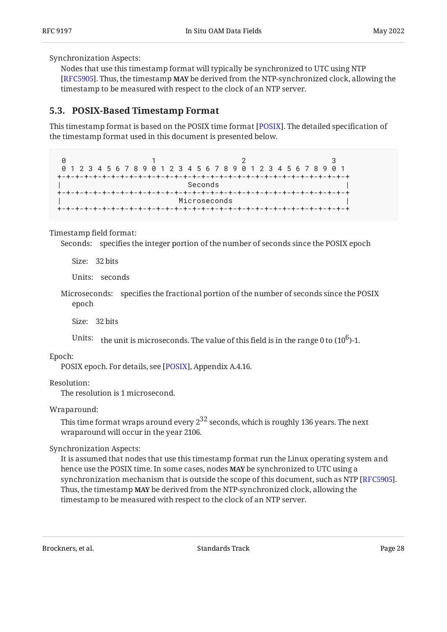Synchronization Aspects:

Nodes that use this timestamp format will typically be synchronized to UTC using NTP [[RFC5905\]](#page-35-4). Thus, the timestamp **MAY** be derived from the NTP-synchronized clock, allowing the timestamp to be measured with respect to the clock of an NTP server.

### <span id="page-27-0"></span>**[5.3. POSIX-Based Timestamp Format](#page-27-0)**

This timestamp format is based on the [POSIX](#page-34-3) time format [POSIX]. The detailed specification of the timestamp format used in this document is presented below.

0 1 2 3 0 1 2 3 4 5 6 7 8 9 0 1 2 3 4 5 6 7 8 9 0 1 2 3 4 5 6 7 8 9 0 1 +-+-+-+-+-+-+-+-+-+-+-+-+-+-+-+-+-+-+-+-+-+-+-+-+-+-+-+-+-+-+-+-+ | Seconds | Seconds | Seconds | Seconds | Seconds | Seconds | Seconds | Seconds | Seconds | Seconds | Seconds | +-+-+-+-+-+-+-+-+-+-+-+-+-+-+-+-+-+-+-+-+-+-+-+-+-+-+-+-+-+-+-+-+ Microseconds +-+-+-+-+-+-+-+-+-+-+-+-+-+-+-+-+-+-+-+-+-+-+-+-+-+-+-+-+-+-+-+-+

Timestamp field format:

Seconds: specifies the integer portion of the number of seconds since the POSIX epoch

Size: 32 bits

Units: seconds

Microseconds: specifies the fractional portion of the number of seconds since the POSIX epoch

Size: 32 bits

Units: the unit is microseconds. The value of this field is in the range 0 to  $(10^6)$ -1.

Epoch:

POSIX epoch. For details, see [POSIX], Appendix A.4.16.

Resolution:

The resolution is 1 microsecond.

Wraparound:

This time format wraps around every  $2^{32}$  seconds, which is roughly 136 years. The next wraparound will occur in the year 2106.

Synchronization Aspects:

It is assumed that nodes that use this timestamp format run the Linux operating system and hence use the POSIX time. In some cases, nodes **MAY** be synchronized to UTC using a synchronization mechanism that is outside the scope of this document, such as NTP [RFC5905]. Thus, the timestamp **MAY** be derived from the NTP-synchronized clock, allowing the timestamp to be measured with respect to the clock of an NTP server.

Brockners, et al. The contract of the standards Standards Track Page 28 and 28 and 28 and 28 and 28 and 28 and 28 and 28 and 28 and 28 and 28 and 28 and 28 and 28 and 28 and 28 and 28 and 28 and 28 and 28 and 28 and 28 and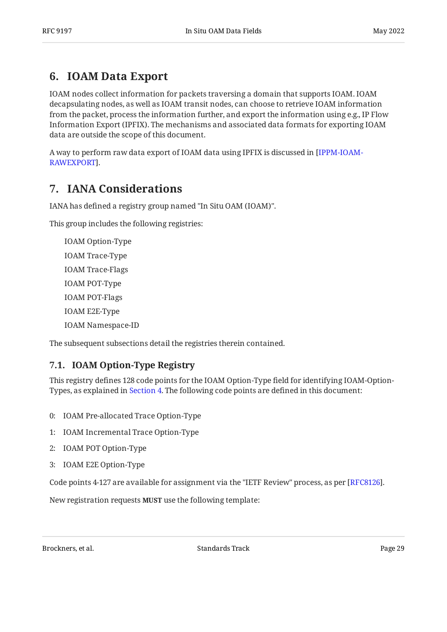## <span id="page-28-0"></span>**[6. IOAM Data Export](#page-28-0)**

IOAM nodes collect information for packets traversing a domain that supports IOAM. IOAM decapsulating nodes, as well as IOAM transit nodes, can choose to retrieve IOAM information from the packet, process the information further, and export the information using e.g., IP Flow Information Export (IPFIX). The mechanisms and associated data formats for exporting IOAM data are outside the scope of this document.

<span id="page-28-1"></span>A way to perform raw data export of IOAM data using IPFIX is discussed in [\[IPPM-IOAM-](#page-35-5). [RAWEXPORT\]](#page-35-5)

## **[7. IANA Considerations](#page-28-1)**

IANA has defined a registry group named "In Situ OAM (IOAM)".

This group includes the following registries:

IOAM Option-Type IOAM Trace-Type IOAM Trace-Flags IOAM POT-Type IOAM POT-Flags IOAM E2E-Type IOAM Namespace-ID

<span id="page-28-2"></span>The subsequent subsections detail the registries therein contained.

## **[7.1. IOAM Option-Type Registry](#page-28-2)**

This registry defines 128 code points for the IOAM Option-Type field for identifying IOAM-Option-Types, as explained in [Section 4](#page-5-0). The following code points are defined in this document:

- 0: IOAM Pre-allocated Trace Option-Type
- 1: IOAM Incremental Trace Option-Type
- 2: IOAM POT Option-Type
- 3: IOAM E2E Option-Type

Code points 4-127 are available for assignment via the "IETF Review" process, as per  $[{\rm RFC8126}].$ 

New registration requests MUST use the following template:

Brockners, et al. The contract of the standards Standards Track Page 29 (1991) 2014 12:30 Page 29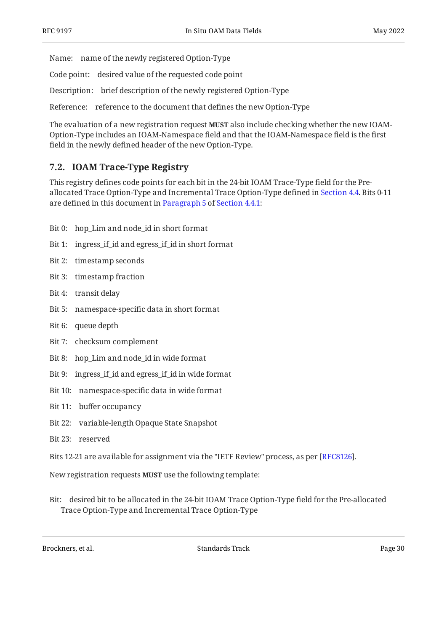Name: name of the newly registered Option-Type

Code point: desired value of the requested code point

Description: brief description of the newly registered Option-Type

Reference: reference to the document that defines the new Option-Type

The evaluation of a new registration request **MUST** also include checking whether the new IOAM-Option-Type includes an IOAM-Namespace field and that the IOAM-Namespace field is the first field in the newly defined header of the new Option-Type.

## <span id="page-29-0"></span>**[7.2. IOAM Trace-Type Registry](#page-29-0)**

This registry defines code points for each bit in the 24-bit IOAM Trace-Type field for the Preallocated Trace Option-Type and Incremental Trace Option-Type defined in [Section 4.4](#page-9-0). Bits 0-11 are defined in this document in [Paragraph 5](#page-12-0) of [Section 4.4.1:](#page-10-0)

- Bit 0: hop\_Lim and node\_id in short format
- Bit 1: ingress\_if\_id and egress\_if\_id in short format
- Bit 2: timestamp seconds
- Bit 3: timestamp fraction
- Bit 4: transit delay
- Bit 5: namespace-specific data in short format
- Bit 6: queue depth
- Bit 7: checksum complement
- Bit 8: hop\_Lim and node\_id in wide format
- Bit 9: ingress\_if\_id and egress\_if\_id in wide format
- Bit 10: namespace-specific data in wide format
- Bit 11: buffer occupancy
- Bit 22: variable-length Opaque State Snapshot
- Bit 23: reserved
- Bits 12-21 are available for assignment via the "IETF Review" process, as per [[RFC8126\]](#page-35-6).

New registration requests **MUST** use the following template:

Bit: desired bit to be allocated in the 24-bit IOAM Trace Option-Type field for the Pre-allocated Trace Option-Type and Incremental Trace Option-Type

Brockners, et al. Standards Track Page 30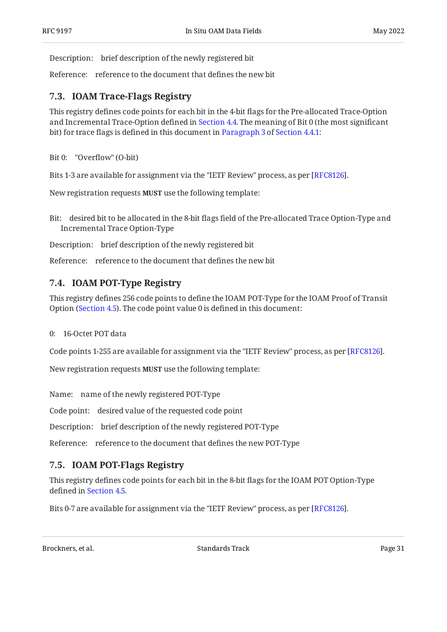Description: brief description of the newly registered bit

<span id="page-30-0"></span>Reference: reference to the document that defines the new bit

### **[7.3. IOAM Trace-Flags Registry](#page-30-0)**

This registry defines code points for each bit in the 4-bit flags for the Pre-allocated Trace-Option and Incremental Trace-Option defined in [Section 4.4.](#page-9-0) The meaning of Bit 0 (the most significant bit) for trace flags is defined in this document in [Paragraph 3](#page-12-1) of [Section 4.4.1](#page-10-0):

Bit 0: "Overflow" (O-bit)

Bits 1-3 are available for assignment via the "IETF Review" process, as per [RFC8126].

New registration requests MUST use the following template:

Bit: desired bit to be allocated in the 8-bit flags field of the Pre-allocated Trace Option-Type and Incremental Trace Option-Type

Description: brief description of the newly registered bit

<span id="page-30-1"></span>Reference: reference to the document that defines the new bit

## **[7.4. IOAM POT-Type Registry](#page-30-1)**

This registry defines 256 code points to define the IOAM POT-Type for the IOAM Proof of Transit Option ([Section 4.5](#page-21-0)). The code point value 0 is defined in this document:

#### 0: 16-Octet POT data

Code points 1-255 are available for assignment via the "IETF Review" process, as per [RFC8126].

New registration requests **MUST** use the following template:

Name: name of the newly registered POT-Type

Code point: desired value of the requested code point

Description: brief description of the newly registered POT-Type

<span id="page-30-2"></span>Reference: reference to the document that defines the new POT-Type

## **[7.5. IOAM POT-Flags Registry](#page-30-2)**

This registry defines code points for each bit in the 8-bit flags for the IOAM POT Option-Type defined in [Section 4.5](#page-21-0).

Bits 0-7 are available for assignment via the "IETF Review" process, as per [\[RFC8126](#page-35-6)].

Brockners, et al. The contract of the standards Standards Track Page 31 and the contract Page 31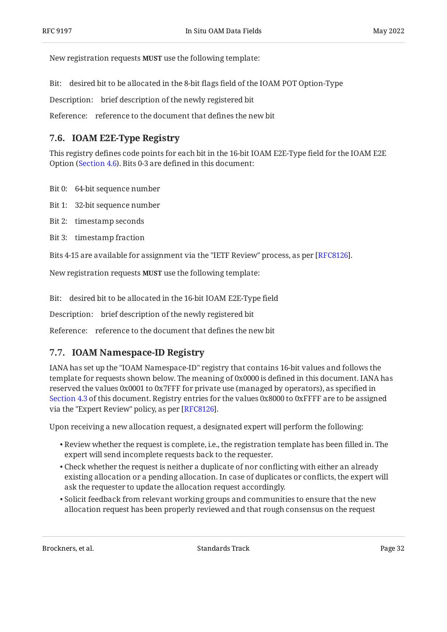New registration requests MUST use the following template:

Bit: desired bit to be allocated in the 8-bit flags field of the IOAM POT Option-Type

Description: brief description of the newly registered bit

<span id="page-31-0"></span>Reference: reference to the document that defines the new bit

## **[7.6. IOAM E2E-Type Registry](#page-31-0)**

This registry defines code points for each bit in the 16-bit IOAM E2E-Type field for the IOAM E2E Option ([Section 4.6](#page-23-0)). Bits 0-3 are defined in this document:

- Bit 0: 64-bit sequence number
- Bit 1: 32-bit sequence number
- Bit 2: timestamp seconds
- Bit 3: timestamp fraction

Bits 4-15 are available for assignment via the "IETF Review" process, as per [RFC8126].

New registration requests **MUST** use the following template:

Bit: desired bit to be allocated in the 16-bit IOAM E2E-Type field

Description: brief description of the newly registered bit

<span id="page-31-1"></span>Reference: reference to the document that defines the new bit

### **[7.7. IOAM Namespace-ID Registry](#page-31-1)**

IANA has set up the "IOAM Namespace-ID" registry that contains 16-bit values and follows the template for requests shown below. The meaning of 0x0000 is defined in this document. IANA has reserved the values 0x0001 to 0x7FFF for private use (managed by operators), as specified in [Section 4.3](#page-7-0) of this document. Registry entries for the values 0x8000 to 0xFFFF are to be assigned via the "Expert Review" policy, as per [RFC8126].

Upon receiving a new allocation request, a designated expert will perform the following:

- $\bullet$  Review whether the request is complete, i.e., the registration template has been filled in. The expert will send incomplete requests back to the requester.
- $\bullet$  Check whether the request is neither a duplicate of nor conflicting with either an already existing allocation or a pending allocation. In case of duplicates or conflicts, the expert will ask the requester to update the allocation request accordingly.
- $\bullet$  Solicit feedback from relevant working groups and communities to ensure that the new allocation request has been properly reviewed and that rough consensus on the request

Brockners, et al. The contract of the standards Standards Track Page 32 and the contract page 32 and 20 and 20 and 20 and 20 and 20 and 20 and 20 and 20 and 20 and 20 and 20 and 20 and 20 and 20 and 20 and 20 and 20 and 20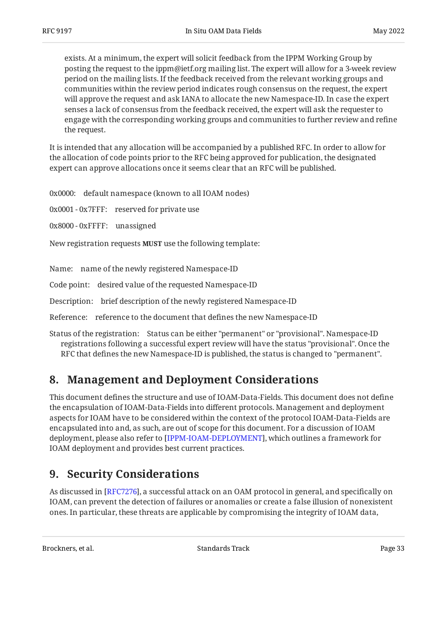exists. At a minimum, the expert will solicit feedback from the IPPM Working Group by posting the request to the ippm@ietf.org mailing list. The expert will allow for a 3-week review period on the mailing lists. If the feedback received from the relevant working groups and communities within the review period indicates rough consensus on the request, the expert will approve the request and ask IANA to allocate the new Namespace-ID. In case the expert senses a lack of consensus from the feedback received, the expert will ask the requester to engage with the corresponding working groups and communities to further review and refine the request.

It is intended that any allocation will be accompanied by a published RFC. In order to allow for the allocation of code points prior to the RFC being approved for publication, the designated expert can approve allocations once it seems clear that an RFC will be published.

0x0000: default namespace (known to all IOAM nodes)

0x0001 - 0x7FFF: reserved for private use

0x8000 - 0xFFFF: unassigned

New registration requests MUST use the following template:

Name: name of the newly registered Namespace-ID

Code point: desired value of the requested Namespace-ID

Description: brief description of the newly registered Namespace-ID

Reference: reference to the document that defines the new Namespace-ID

Status of the registration: Status can be either "permanent" or "provisional". Namespace-ID registrations following a successful expert review will have the status "provisional". Once the RFC that defines the new Namespace-ID is published, the status is changed to "permanent".

## <span id="page-32-0"></span>**[8. Management and Deployment Considerations](#page-32-0)**

This document defines the structure and use of IOAM-Data-Fields. This document does not define the encapsulation of IOAM-Data-Fields into different protocols. Management and deployment aspects for IOAM have to be considered within the context of the protocol IOAM-Data-Fields are encapsulated into and, as such, are out of scope for this document. For a discussion of IOAM deployment, please also refer to [IPPM-IOAM-DEPLOYMENT], which outlines a framework for IOAM deployment and provides best current practices.

## <span id="page-32-1"></span>**[9. Security Considerations](#page-32-1)**

As discussed in [RFC7276], a successful attack on an OAM protocol in general, and specifically on IOAM, can prevent the detection of failures or anomalies or create a false illusion of nonexistent ones. In particular, these threats are applicable by compromising the integrity of IOAM data,

Brockners, et al. The contract of the standards Standards Track Page 33 and the contract page 33 and the contract page 33 and the contract page 33 and the contract page 33 and the contract page 33 and the contract page 33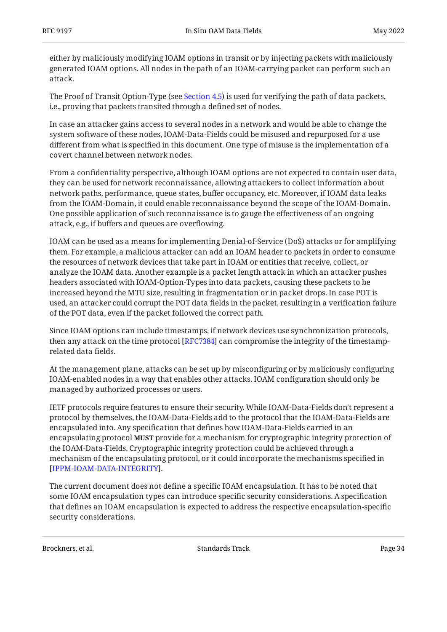either by maliciously modifying IOAM options in transit or by injecting packets with maliciously generated IOAM options. All nodes in the path of an IOAM-carrying packet can perform such an attack.

The Proof of Transit Option-Type (see [Section 4.5](#page-21-0)) is used for verifying the path of data packets, i.e., proving that packets transited through a defined set of nodes.

In case an attacker gains access to several nodes in a network and would be able to change the system software of these nodes, IOAM-Data-Fields could be misused and repurposed for a use different from what is specified in this document. One type of misuse is the implementation of a covert channel between network nodes.

From a confidentiality perspective, although IOAM options are not expected to contain user data, they can be used for network reconnaissance, allowing attackers to collect information about network paths, performance, queue states, buffer occupancy, etc. Moreover, if IOAM data leaks from the IOAM-Domain, it could enable reconnaissance beyond the scope of the IOAM-Domain. One possible application of such reconnaissance is to gauge the effectiveness of an ongoing attack, e.g., if buffers and queues are overflowing.

IOAM can be used as a means for implementing Denial-of-Service (DoS) attacks or for amplifying them. For example, a malicious attacker can add an IOAM header to packets in order to consume the resources of network devices that take part in IOAM or entities that receive, collect, or analyze the IOAM data. Another example is a packet length attack in which an attacker pushes headers associated with IOAM-Option-Types into data packets, causing these packets to be increased beyond the MTU size, resulting in fragmentation or in packet drops. In case POT is used, an attacker could corrupt the POT data fields in the packet, resulting in a verification failure of the POT data, even if the packet followed the correct path.

Since IOAM options can include timestamps, if network devices use synchronization protocols, then any attack on the time protocol [[RFC7384\]](#page-35-8) can compromise the integrity of the timestamprelated data fields.

At the management plane, attacks can be set up by misconfiguring or by maliciously configuring IOAM-enabled nodes in a way that enables other attacks. IOAM configuration should only be managed by authorized processes or users.

IETF protocols require features to ensure their security. While IOAM-Data-Fields don't represent a protocol by themselves, the IOAM-Data-Fields add to the protocol that the IOAM-Data-Fields are encapsulated into. Any specification that defines how IOAM-Data-Fields carried in an encapsulating protocol MUST provide for a mechanism for cryptographic integrity protection of the IOAM-Data-Fields. Cryptographic integrity protection could be achieved through a mechanism of the encapsulating protocol, or it could incorporate the mechanisms specified in . [[IPPM-IOAM-DATA-INTEGRITY\]](#page-35-9)

The current document does not define a specific IOAM encapsulation. It has to be noted that some IOAM encapsulation types can introduce specific security considerations. A specification that defines an IOAM encapsulation is expected to address the respective encapsulation-specific security considerations.

Brockners, et al. Standards Track Page 34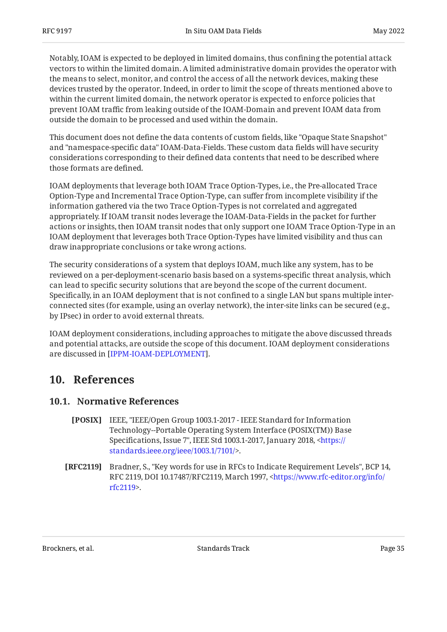Notably, IOAM is expected to be deployed in limited domains, thus confining the potential attack vectors to within the limited domain. A limited administrative domain provides the operator with the means to select, monitor, and control the access of all the network devices, making these devices trusted by the operator. Indeed, in order to limit the scope of threats mentioned above to within the current limited domain, the network operator is expected to enforce policies that prevent IOAM traffic from leaking outside of the IOAM-Domain and prevent IOAM data from outside the domain to be processed and used within the domain.

This document does not define the data contents of custom fields, like "Opaque State Snapshot" and "namespace-specific data" IOAM-Data-Fields. These custom data fields will have security considerations corresponding to their defined data contents that need to be described where those formats are defined.

IOAM deployments that leverage both IOAM Trace Option-Types, i.e., the Pre-allocated Trace Option-Type and Incremental Trace Option-Type, can suffer from incomplete visibility if the information gathered via the two Trace Option-Types is not correlated and aggregated appropriately. If IOAM transit nodes leverage the IOAM-Data-Fields in the packet for further actions or insights, then IOAM transit nodes that only support one IOAM Trace Option-Type in an IOAM deployment that leverages both Trace Option-Types have limited visibility and thus can draw inappropriate conclusions or take wrong actions.

The security considerations of a system that deploys IOAM, much like any system, has to be reviewed on a per-deployment-scenario basis based on a systems-specific threat analysis, which can lead to specific security solutions that are beyond the scope of the current document. Specifically, in an IOAM deployment that is not confined to a single LAN but spans multiple interconnected sites (for example, using an overlay network), the inter-site links can be secured (e.g., by IPsec) in order to avoid external threats.

IOAM deployment considerations, including approaches to mitigate the above discussed threads and potential attacks, are outside the scope of this document. IOAM deployment considerations are discussed in [[IPPM-IOAM-DEPLOYMENT\]](#page-35-3).

## <span id="page-34-1"></span><span id="page-34-0"></span>**[10. References](#page-34-0)**

#### <span id="page-34-3"></span>**[10.1. Normative References](#page-34-1)**

- **[POSIX]** IEEE, "IEEE/Open Group 1003.1-2017 IEEE Standard for Information Specifications, Issue 7", IEEE Std 1003.1-2017, January 2018, <<del>http</del>s:// . [standards.ieee.org/ieee/1003.1/7101/](https://standards.ieee.org/ieee/1003.1/7101/)> Technology--Portable Operating System Interface (POSIX(TM)) Base
- <span id="page-34-2"></span>**[RFC2119]** Bradner, S., "Key words for use in RFCs to Indicate Requirement Levels", BCP 14, RFC 2119, DOI 10.17487/RFC2119, March 1997, [<https://www.rfc-editor.org/info/](https://www.rfc-editor.org/info/rfc2119) . [rfc2119](https://www.rfc-editor.org/info/rfc2119)>

Brockners, et al. The contract of the standards Standards Track Page 35 and the contract of the contract Page 35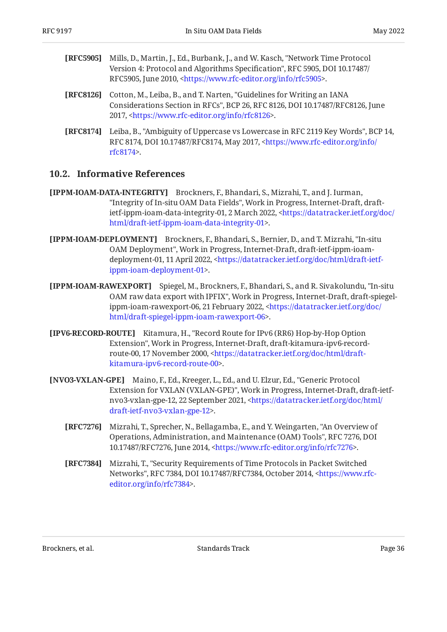- <span id="page-35-4"></span>**[RFC5905]** Mills, D., Martin, J., Ed., Burbank, J., and W. Kasch, "Network Time Protocol Version 4: Protocol and Algorithms Specification", RFC 5905, DOI 10.17487/ RFC5905, June 2010, [<https://www.rfc-editor.org/info/rfc5905>](https://www.rfc-editor.org/info/rfc5905).
- <span id="page-35-6"></span>**[RFC8126]** Cotton, M., Leiba, B., and T. Narten, "Guidelines for Writing an IANA Considerations Section in RFCs", BCP 26, RFC 8126, DOI 10.17487/RFC8126, June 2017, <https://www.rfc-editor.org/info/rfc8126>.
- <span id="page-35-1"></span>**[RFC8174]** Leiba, B., "Ambiguity of Uppercase vs Lowercase in RFC 2119 Key Words", BCP 14, RFC 8174, DOI 10.17487/RFC8174, May 2017, <[https://www.rfc-editor.org/info/](https://www.rfc-editor.org/info/rfc8174) . [rfc8174](https://www.rfc-editor.org/info/rfc8174)>

#### <span id="page-35-0"></span>**[10.2. Informative References](#page-35-0)**

- <span id="page-35-9"></span>**[IPPM-IOAM-DATA-INTEGRITY]** Brockners, F., Bhandari, S., Mizrahi, T., and J. Iurman, "Integrity of In-situ OAM Data Fields", Work in Progress, Internet-Draft, draft-ietf-ippm-ioam-data-integrity-01, 2 March 2022, [<https://datatracker.ietf.org/doc/](https://datatracker.ietf.org/doc/html/draft-ietf-ippm-ioam-data-integrity-01) . [html/draft-ietf-ippm-ioam-data-integrity-01](https://datatracker.ietf.org/doc/html/draft-ietf-ippm-ioam-data-integrity-01)>
- <span id="page-35-3"></span>**[IPPM-IOAM-DEPLOYMENT]** Brockners, F., Bhandari, S., Bernier, D., and T. Mizrahi, "In-situ OAM Deployment", Work in Progress, Internet-Draft, draft-ietf-ippm-ioam-deployment-01, 11 April 2022, [<https://datatracker.ietf.org/doc/html/draft-ietf-](https://datatracker.ietf.org/doc/html/draft-ietf-ippm-ioam-deployment-01). [ippm-ioam-deployment-01>](https://datatracker.ietf.org/doc/html/draft-ietf-ippm-ioam-deployment-01)
- <span id="page-35-5"></span>**[IPPM-IOAM-RAWEXPORT]** Spiegel, M., Brockners, F., Bhandari, S., and R. Sivakolundu, "In-situ OAM raw data export with IPFIX", Work in Progress, Internet-Draft, draft-spiegel-ippm-ioam-rawexport-06, 21 February 2022, [<https://datatracker.ietf.org/doc/](https://datatracker.ietf.org/doc/html/draft-spiegel-ippm-ioam-rawexport-06) . [html/draft-spiegel-ippm-ioam-rawexport-06>](https://datatracker.ietf.org/doc/html/draft-spiegel-ippm-ioam-rawexport-06)
- <span id="page-35-10"></span>**[IPV6-RECORD-ROUTE]** , Kitamura, H. "Record Route for IPv6 (RR6) Hop-by-Hop Option Extension", Work in Progress, Internet-Draft, draft-kitamura-ipv6-record-route-00, 17 November 2000, [<https://datatracker.ietf.org/doc/html/draft-](https://datatracker.ietf.org/doc/html/draft-kitamura-ipv6-record-route-00). [kitamura-ipv6-record-route-00>](https://datatracker.ietf.org/doc/html/draft-kitamura-ipv6-record-route-00)
- <span id="page-35-8"></span><span id="page-35-7"></span><span id="page-35-2"></span>**[NVO3-VXLAN-GPE]** Maino, F., Ed., Kreeger, L., Ed., and U. Elzur, Ed., "Generic Protocol Extension for VXLAN (VXLAN-GPE)", Work in Progress, Internet-Draft, draft-ietf-nvo3-vxlan-gpe-12, 22 September 2021, [<https://datatracker.ietf.org/doc/html/](https://datatracker.ietf.org/doc/html/draft-ietf-nvo3-vxlan-gpe-12) . [draft-ietf-nvo3-vxlan-gpe-12](https://datatracker.ietf.org/doc/html/draft-ietf-nvo3-vxlan-gpe-12)>
	- **[RFC7276]** Mizrahi, T., Sprecher, N., Bellagamba, E., and Y. Weingarten, "An Overview of , , Operations, Administration, and Maintenance (OAM) Tools" RFC 7276 DOI 10.17487/RFC7276, June 2014, <https://www.rfc-editor.org/info/rfc7276>.
	- **[RFC7384]** , Mizrahi, T. "Security Requirements of Time Protocols in Packet Switched Networks", RFC 7384, DOI 10.17487/RFC7384, October 2014, [<https://www.rfc-](https://www.rfc-editor.org/info/rfc7384). [editor.org/info/rfc7384](https://www.rfc-editor.org/info/rfc7384)>

Brockners, et al. The contract of the standards Standards Track Contract Page 36 and 2011 11: 12:30 Page 36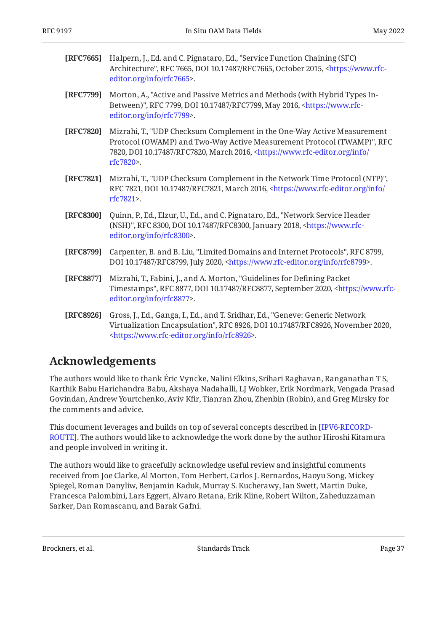<span id="page-36-8"></span>

| <b>[REC7665]</b> Halpern, J., Ed. and C. Pignataro, Ed., "Service Function Chaining (SFC)         |
|---------------------------------------------------------------------------------------------------|
| Architecture", RFC 7665, DOI 10.17487/RFC7665, October 2015, <https: th="" www.rfc-<=""></https:> |
| editor.org/info/rfc7665>.                                                                         |

- <span id="page-36-1"></span>**[RFC7799]** Morton, A., "Active and Passive Metrics and Methods (with Hybrid Types In-Between)", RFC 7799, DOI 10.17487/RFC7799, May 2016, [<https://www.rfc-](https://www.rfc-editor.org/info/rfc7799). [editor.org/info/rfc7799](https://www.rfc-editor.org/info/rfc7799)>
- <span id="page-36-6"></span>**[RFC7820]** , Mizrahi, T. "UDP Checksum Complement in the One-Way Active Measurement Protocol (OWAMP) and Two-Way Active Measurement Protocol (TWAMP)", RFC 7820, DOI 10.17487/RFC7820, March 2016, [<https://www.rfc-editor.org/info/](https://www.rfc-editor.org/info/rfc7820) . [rfc7820](https://www.rfc-editor.org/info/rfc7820)>
- <span id="page-36-7"></span>**[RFC7821]** Mizrahi, T., "UDP Checksum Complement in the Network Time Protocol (NTP)", RFC 7821, DOI 10.17487/RFC7821, March 2016, [<https://www.rfc-editor.org/info/](https://www.rfc-editor.org/info/rfc7821) . [rfc7821](https://www.rfc-editor.org/info/rfc7821)>
- <span id="page-36-3"></span>**[RFC8300]** Quinn, P., Ed., Elzur, U., Ed., and C. Pignataro, Ed., "Network Service Header (NSH)", RFC 8300, DOI 10.17487/RFC8300, January 2018, [<https://www.rfc-](https://www.rfc-editor.org/info/rfc8300). [editor.org/info/rfc8300](https://www.rfc-editor.org/info/rfc8300)>
- <span id="page-36-4"></span>**[RFC8799]** Carpenter, B. and B. Liu, "Limited Domains and Internet Protocols", RFC 8799, DOI 10.17487/RFC8799, July 2020, <https://www.rfc-editor.org/info/rfc8799>.
- <span id="page-36-5"></span>**[RFC8877]** Mizrahi, T., Fabini, J., and A. Morton, "Guidelines for Defining Packet Timestamps", RFC 8877, DOI 10.17487/RFC8877, September 2020, [<https://www.rfc-](https://www.rfc-editor.org/info/rfc8877). [editor.org/info/rfc8877](https://www.rfc-editor.org/info/rfc8877)>
- <span id="page-36-2"></span>**[RFC8926]** Gross, J., Ed., Ganga, I., Ed., and T. Sridhar, Ed., "Geneve: Generic Network Virtualization Encapsulation", RFC 8926, DOI 10.17487/RFC8926, November 2020, . [<https://www.rfc-editor.org/info/rfc8926](https://www.rfc-editor.org/info/rfc8926)>

## <span id="page-36-0"></span>**[Acknowledgements](#page-36-0)**

The authors would like to thank Éric Vyncke, Nalini Elkins, Srihari Raghavan, Ranganathan T S, Karthik Babu Harichandra Babu, Akshaya Nadahalli, LJ Wobker, Erik Nordmark, Vengada Prasad Govindan, Andrew Yourtchenko, Aviv Kfir, Tianran Zhou, Zhenbin (Robin), and Greg Mirsky for the comments and advice.

This document leverages and builds on top of several concepts described in [\[IPV6-RECORD-](#page-35-10)[ROUTE\]](#page-35-10). The authors would like to acknowledge the work done by the author Hiroshi Kitamura and people involved in writing it.

The authors would like to gracefully acknowledge useful review and insightful comments received from Joe Clarke, Al Morton, Tom Herbert, Carlos J. Bernardos, Haoyu Song, Mickey Spiegel, Roman Danyliw, Benjamin Kaduk, Murray S. Kucherawy, Ian Swett, Martin Duke, Francesca Palombini, Lars Eggert, Alvaro Retana, Erik Kline, Robert Wilton, Zaheduzzaman Sarker, Dan Romascanu, and Barak Gafni.

Brockners, et al. The contract of the Standards Track Page 37 (2012) 1998 27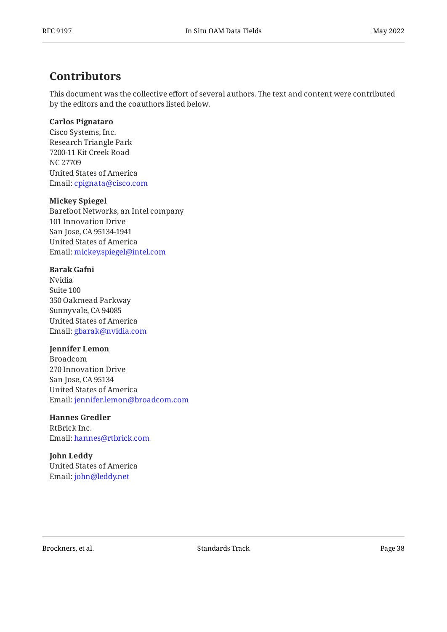## <span id="page-37-0"></span>**[Contributors](#page-37-0)**

This document was the collective effort of several authors. The text and content were contributed by the editors and the coauthors listed below.

#### **Carlos Pignataro**

Cisco Systems, Inc. Research Triangle Park 7200-11 Kit Creek Road NC 27709 United States of America Email: [cpignata@cisco.com](mailto:cpignata@cisco.com)

#### **Mickey Spiegel**

Barefoot Networks, an Intel company 101 Innovation Drive San Jose, CA 95134-1941 United States of America Email: [mickey.spiegel@intel.com](mailto:mickey.spiegel@intel.com)

#### **Barak Gafni**

Nvidia Suite 100 350 Oakmead Parkway Sunnyvale, CA 94085 United States of America Email: [gbarak@nvidia.com](mailto:gbarak@nvidia.com)

#### **Jennifer Lemon**

Broadcom 270 Innovation Drive San Jose, CA 95134 United States of America Email: [jennifer.lemon@broadcom.com](mailto:jennifer.lemon@broadcom.com)

#### **Hannes Gredler**

RtBrick Inc. Email: [hannes@rtbrick.com](mailto:hannes@rtbrick.com)

### **John Leddy**

United States of America Email: [john@leddy.net](mailto:john@leddy.net)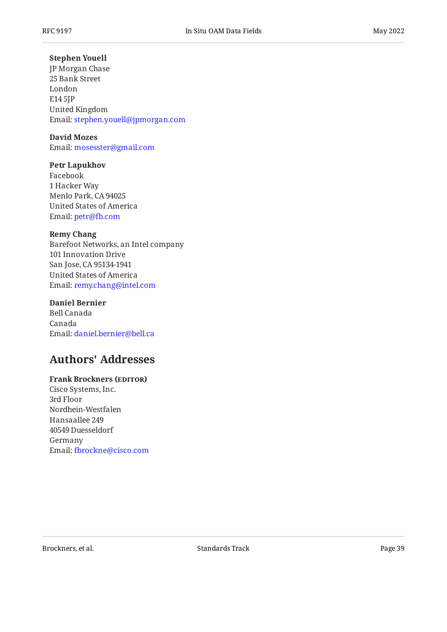#### **Stephen Youell**

JP Morgan Chase 25 Bank Street London E14 5JP United Kingdom Email: [stephen.youell@jpmorgan.com](mailto:stephen.youell@jpmorgan.com)

#### **David Mozes**

Email: [mosesster@gmail.com](mailto:mosesster@gmail.com)

#### **Petr Lapukhov**

Facebook 1 Hacker Way Menlo Park, CA 94025 United States of America Email: petr@fb.com

#### **Remy Chang**

Barefoot Networks, an Intel company 101 Innovation Drive San Jose, CA 95134-1941 United States of America Email: [remy.chang@intel.com](mailto:remy.chang@intel.com)

#### **Daniel Bernier**

Bell Canada Canada Email: [daniel.bernier@bell.ca](mailto:daniel.bernier@bell.ca)

## <span id="page-38-0"></span>**[Authors' Addresses](#page-38-0)**

#### **Frank Brockners (EDITOR)**

Cisco Systems, Inc. 3rd Floor Nordhein-Westfalen Hansaallee 249 40549 Duesseldorf Germany Email: [fbrockne@cisco.com](mailto:fbrockne@cisco.com)